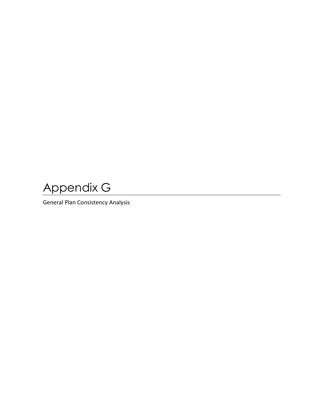Appendix G

General Plan Consistency Analysis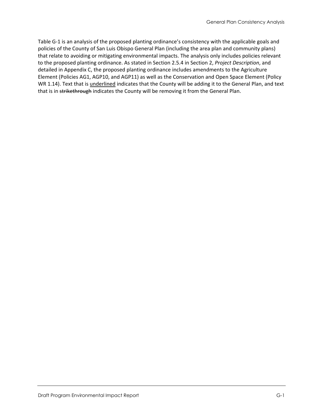[Table G-1](#page-2-0) is an analysis of the proposed planting ordinance's consistency with the applicable goals and policies of the County of San Luis Obispo General Plan (including the area plan and community plans) that relate to avoiding or mitigating environmental impacts. The analysis only includes policies relevant to the proposed planting ordinance. As stated in Section 2.5.4 in Section 2, *Project Description*, and detailed in Appendix C, the proposed planting ordinance includes amendments to the Agriculture Element (Policies AG1, AGP10, and AGP11) as well as the Conservation and Open Space Element (Policy WR 1.14). Text that is underlined indicates that the County will be adding it to the General Plan, and text that is in strikethrough indicates the County will be removing it from the General Plan.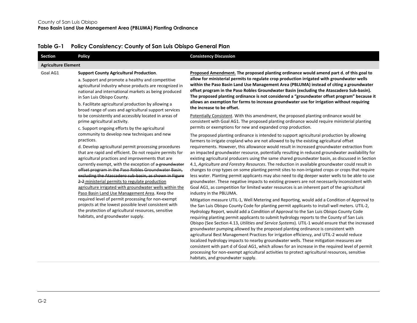<span id="page-2-0"></span>

| Section                    | <b>Policy</b>                                                                                                                                                                                                                                                                                                                                                                                                                                                                                                                                                              | <b>Consistency Discussion</b>                                                                                                                                                                                                                                                                                                                                                                                                                                                                                                                                                                                                                                                                                                                                                                                                                                                                                                                                                                                                      |
|----------------------------|----------------------------------------------------------------------------------------------------------------------------------------------------------------------------------------------------------------------------------------------------------------------------------------------------------------------------------------------------------------------------------------------------------------------------------------------------------------------------------------------------------------------------------------------------------------------------|------------------------------------------------------------------------------------------------------------------------------------------------------------------------------------------------------------------------------------------------------------------------------------------------------------------------------------------------------------------------------------------------------------------------------------------------------------------------------------------------------------------------------------------------------------------------------------------------------------------------------------------------------------------------------------------------------------------------------------------------------------------------------------------------------------------------------------------------------------------------------------------------------------------------------------------------------------------------------------------------------------------------------------|
| <b>Agriculture Element</b> |                                                                                                                                                                                                                                                                                                                                                                                                                                                                                                                                                                            |                                                                                                                                                                                                                                                                                                                                                                                                                                                                                                                                                                                                                                                                                                                                                                                                                                                                                                                                                                                                                                    |
| Goal AG1                   | <b>Support County Agricultural Production.</b><br>a. Support and promote a healthy and competitive<br>agricultural industry whose products are recognized in<br>national and international markets as being produced<br>in San Luis Obispo County.<br>b. Facilitate agricultural production by allowing a<br>broad range of uses and agricultural support services                                                                                                                                                                                                         | Proposed Amendment. The proposed planting ordinance would amend part d. of this goal to<br>allow for ministerial permits to regulate crop production irrigated with groundwater wells<br>within the Paso Basin Land Use Management Area (PBLUMA) instead of citing a groundwater<br>offset program in the Paso Robles Groundwater Basin (excluding the Atascadero Sub-basin).<br>The proposed planting ordinance is not considered a "groundwater offset program" because it<br>allows an exemption for farms to increase groundwater use for irrigation without requiring<br>the increase to be offset.                                                                                                                                                                                                                                                                                                                                                                                                                           |
|                            | to be consistently and accessibly located in areas of<br>prime agricultural activity.<br>c. Support ongoing efforts by the agricultural                                                                                                                                                                                                                                                                                                                                                                                                                                    | Potentially Consistent. With this amendment, the proposed planting ordinance would be<br>consistent with Goal AG1. The proposed planting ordinance would require ministerial planting<br>permits or exemptions for new and expanded crop production.                                                                                                                                                                                                                                                                                                                                                                                                                                                                                                                                                                                                                                                                                                                                                                               |
|                            | community to develop new techniques and new<br>practices.<br>d. Develop agricultural permit processing procedures<br>that are rapid and efficient. Do not require permits for<br>agricultural practices and improvements that are<br>currently exempt, with the exception of a groundwater<br>offset program in the Paso Robles Groundwater Basin,<br>excluding the Atascadero sub-basin, as shown in Figure<br>2-2 ministerial permits to regulate production<br>agriculture irrigated with groundwater wells within the<br>Paso Basin Land Use Management Area. Keep the | The proposed planting ordinance is intended to support agricultural production by allowing<br>farmers to irrigate cropland who are not allowed to by the existing agricultural offset<br>requirements. However, this allowance would result in increased groundwater extraction from<br>an impacted groundwater resource, potentially resulting in reduced groundwater availability for<br>existing agricultural producers using the same shared groundwater basin, as discussed in Section<br>4.1, Agriculture and Forestry Resources. The reduction in available groundwater could result in<br>changes to crop types on some planting permit sites to non-irrigated crops or crops that require<br>less water. Planting permit applicants may also need to dig deeper water wells to be able to use<br>groundwater. These negative impacts to existing growers are not necessarily inconsistent with<br>Goal AG1, as competition for limited water resources is an inherent part of the agricultural<br>industry in the PBLUMA. |
|                            | required level of permit processing for non-exempt<br>projects at the lowest possible level consistent with<br>the protection of agricultural resources, sensitive<br>habitats, and groundwater supply.                                                                                                                                                                                                                                                                                                                                                                    | Mitigation measure UTIL-1, Well Metering and Reporting, would add a Condition of Approval to<br>the San Luis Obispo County Code for planting permit applicants to install well meters. UTIL-2,<br>Hydrology Report, would add a Condition of Approval to the San Luis Obispo County Code<br>requiring planting permit applicants to submit hydrology reports to the County of San Luis<br>Obispo (See Section 4.13, Utilities and Service Systems). UTIL-1 would ensure that the increased<br>groundwater pumping allowed by the proposed planting ordinance is consistent with<br>agricultural Best Management Practices for irrigation efficiency, and UTIL-2 would reduce<br>localized hydrology impacts to nearby groundwater wells. These mitigation measures are                                                                                                                                                                                                                                                             |

habitats, and groundwater supply.

consistent with part d of Goal AG1, which allows for an increase in the required level of permit processing for non-exempt agricultural activities to protect agricultural resources, sensitive

## **Table G-1 Policy Consistency: County of San Luis Obispo General Plan**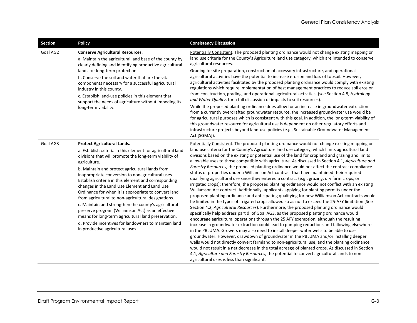| <b>Section</b> | <b>Policy</b>                                                                                                                                                                                                                                                                                                                                                                                                                                                                                                                                                                                                                                                                                                                                                        | <b>Consistency Discussion</b>                                                                                                                                                                                                                                                                                                                                                                                                                                                                                                                                                                                                                                                                                                                                                                                                                                                                                                                                                                                                                                                                                                                                                                                                                                                                                                                                                                                                                                                                                                                                                                                                                                                                                                                                                                                                                                                                                                                                                                                                      |
|----------------|----------------------------------------------------------------------------------------------------------------------------------------------------------------------------------------------------------------------------------------------------------------------------------------------------------------------------------------------------------------------------------------------------------------------------------------------------------------------------------------------------------------------------------------------------------------------------------------------------------------------------------------------------------------------------------------------------------------------------------------------------------------------|------------------------------------------------------------------------------------------------------------------------------------------------------------------------------------------------------------------------------------------------------------------------------------------------------------------------------------------------------------------------------------------------------------------------------------------------------------------------------------------------------------------------------------------------------------------------------------------------------------------------------------------------------------------------------------------------------------------------------------------------------------------------------------------------------------------------------------------------------------------------------------------------------------------------------------------------------------------------------------------------------------------------------------------------------------------------------------------------------------------------------------------------------------------------------------------------------------------------------------------------------------------------------------------------------------------------------------------------------------------------------------------------------------------------------------------------------------------------------------------------------------------------------------------------------------------------------------------------------------------------------------------------------------------------------------------------------------------------------------------------------------------------------------------------------------------------------------------------------------------------------------------------------------------------------------------------------------------------------------------------------------------------------------|
| Goal AG2       | <b>Conserve Agricultural Resources.</b><br>a. Maintain the agricultural land base of the county by<br>clearly defining and identifying productive agricultural<br>lands for long-term protection.<br>b. Conserve the soil and water that are the vital<br>components necessary for a successful agricultural<br>industry in this county.<br>c. Establish land-use policies in this element that<br>support the needs of agriculture without impeding its<br>long-term viability.                                                                                                                                                                                                                                                                                     | Potentially Consistent. The proposed planting ordinance would not change existing mapping or<br>land use criteria for the County's Agriculture land use category, which are intended to conserve<br>agricultural resources.<br>Grading for site preparation, construction of accessory infrastructure, and operational<br>agricultural activities have the potential to increase erosion and loss of topsoil. However,<br>agricultural activities facilitated by the proposed planting ordinance would comply with existing<br>regulations which require implementation of best management practices to reduce soil erosion<br>from construction, grading, and operational agricultural activities. (see Section 4.8, Hydrology<br>and Water Quality, for a full discussion of impacts to soil resources).<br>While the proposed planting ordinance does allow for an increase in groundwater extraction<br>from a currently overdrafted groundwater resource, the increased groundwater use would be<br>for agricultural purposes which is consistent with this goal. In addition, the long-term viability of<br>this groundwater resource for agricultural use is dependent on other regulatory efforts and<br>infrastructure projects beyond land-use policies (e.g., Sustainable Groundwater Management<br>Act [SGMA]).                                                                                                                                                                                                                                                                                                                                                                                                                                                                                                                                                                                                                                                                                                        |
| Goal AG3       | Protect Agricultural Lands.<br>a. Establish criteria in this element for agricultural land<br>divisions that will promote the long-term viability of<br>agriculture.<br>b. Maintain and protect agricultural lands from<br>inappropriate conversion to nonagricultural uses.<br>Establish criteria in this element and corresponding<br>changes in the Land Use Element and Land Use<br>Ordinance for when it is appropriate to convert land<br>from agricultural to non-agricultural designations.<br>c. Maintain and strengthen the county's agricultural<br>preserve program (Williamson Act) as an effective<br>means for long-term agricultural land preservation.<br>d. Provide incentives for landowners to maintain land<br>in productive agricultural uses. | Potentially Consistent. The proposed planting ordinance would not change existing mapping or<br>land use criteria for the County's Agriculture land use category, which limits agricultural land<br>divisions based on the existing or potential use of the land for cropland and grazing and limits<br>allowable uses to those compatible with agriculture. As discussed in Section 4.1, Agriculture and<br>Forestry Resources, the proposed planting ordinance would not affect the contract compliance<br>status of properties under a Williamson Act contract that have maintained their required<br>qualifying agricultural use since they entered a contract (e.g., grazing, dry farm crops, or<br>irrigated crops); therefore, the proposed planting ordinance would not conflict with an existing<br>Williamson Act contract. Additionally, applicants applying for planting permits under the<br>proposed planting ordinance and anticipating qualifying for new Williamson Act contracts would<br>be limited in the types of irrigated crops allowed so as not to exceed the 25-AFY limitation (See<br>Section 4.2, Agricultural Resources). Furthermore, the proposed planting ordinance would<br>specifically help address part d. of Goal AG3, as the proposed planting ordinance would<br>encourage agricultural operations through the 25 AFY exemption, although the resulting<br>increase in groundwater extraction could lead to pumping reductions and fallowing elsewhere<br>in the PBLUMA. Growers may also need to install deeper water wells to be able to use<br>groundwater. However, drawdown of groundwater in the PBLUMA and/or installing deeper<br>wells would not directly convert farmland to non-agricultural use, and the planting ordinance<br>would not result in a net decrease in the total acreage of planted crops. As discussed in Section<br>4.1, Agriculture and Forestry Resources, the potential to convert agricultural lands to non-<br>agricultural uses is less than significant. |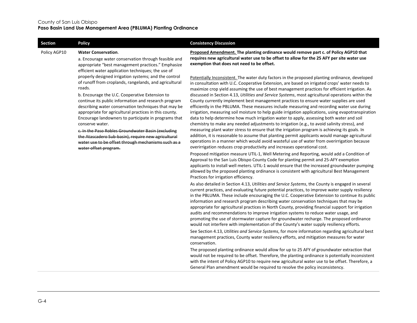| <b>Section</b> | <b>Policy</b>                                                                                                                                                                                                                                                                                                                                                                                                                                                                                                                                                                                                                 | <b>Consistency Discussion</b>                                                                                                                                                                                                                                                                                                                                                                                                                                                                                                                                                                                                                                                                                                                                                                                                                                                                                                                                                                                                                                                                                                                                                                                                                                                                                                                                                                                                                                                                                                                                                                                                                                                                              |
|----------------|-------------------------------------------------------------------------------------------------------------------------------------------------------------------------------------------------------------------------------------------------------------------------------------------------------------------------------------------------------------------------------------------------------------------------------------------------------------------------------------------------------------------------------------------------------------------------------------------------------------------------------|------------------------------------------------------------------------------------------------------------------------------------------------------------------------------------------------------------------------------------------------------------------------------------------------------------------------------------------------------------------------------------------------------------------------------------------------------------------------------------------------------------------------------------------------------------------------------------------------------------------------------------------------------------------------------------------------------------------------------------------------------------------------------------------------------------------------------------------------------------------------------------------------------------------------------------------------------------------------------------------------------------------------------------------------------------------------------------------------------------------------------------------------------------------------------------------------------------------------------------------------------------------------------------------------------------------------------------------------------------------------------------------------------------------------------------------------------------------------------------------------------------------------------------------------------------------------------------------------------------------------------------------------------------------------------------------------------------|
| Policy AGP10   | <b>Water Conservation.</b><br>a. Encourage water conservation through feasible and<br>appropriate "best management practices." Emphasize<br>efficient water application techniques; the use of                                                                                                                                                                                                                                                                                                                                                                                                                                | Proposed Amendment. The planting ordinance would remove part c. of Policy AGP10 that<br>requires new agricultural water use to be offset to allow for the 25 AFY per site water use<br>exemption that does not need to be offset.                                                                                                                                                                                                                                                                                                                                                                                                                                                                                                                                                                                                                                                                                                                                                                                                                                                                                                                                                                                                                                                                                                                                                                                                                                                                                                                                                                                                                                                                          |
|                | properly designed irrigation systems; and the control<br>of runoff from croplands, rangelands, and agricultural<br>roads.<br>b. Encourage the U.C. Cooperative Extension to<br>continue its public information and research program<br>describing water conservation techniques that may be<br>appropriate for agricultural practices in this county.<br>Encourage landowners to participate in programs that<br>conserve water.<br>c. In the Paso Robles Groundwater Basin (excluding<br>the Atascadero Sub-basin), require new agricultural<br>water use to be offset through mechanisms such as a<br>water offset program. | Potentially Inconsistent. The water duty factors in the proposed planting ordinance, developed<br>in consultation with U.C. Cooperative Extension, are based on irrigated crops' water needs to<br>maximize crop yield assuming the use of best management practices for efficient irrigation. As<br>discussed in Section 4.13, Utilities and Service Systems, most agricultural operations within the<br>County currently implement best management practices to ensure water supplies are used<br>efficiently in the PBLUMA. These measures include measuring and recording water use during<br>irrigation, measuring soil moisture to help guide irrigation applications, using evapotranspiration<br>data to help determine how much irrigation water to apply, assessing both water and soil<br>chemistry to make any needed adjustments to irrigation (e.g., to avoid salinity stress), and<br>measuring plant water stress to ensure that the irrigation program is achieving its goals. In<br>addition, it is reasonable to assume that planting permit applicants would manage agricultural<br>operations in a manner which would avoid wasteful use of water from overirrigation because<br>overirrigation reduces crop productivity and increases operational cost.<br>Proposed mitigation measure UTIL-1, Well Metering and Reporting, would add a Condition of<br>Approval to the San Luis Obispo County Code for planting permit and 25-AFY exemption<br>applicants to install well meters. UTIL-1 would ensure that the increased groundwater pumping<br>allowed by the proposed planting ordinance is consistent with agricultural Best Management<br>Practices for irrigation efficiency. |
|                |                                                                                                                                                                                                                                                                                                                                                                                                                                                                                                                                                                                                                               | As also detailed in Section 4.13, Utilities and Service Systems, the County is engaged in several<br>current practices, and evaluating future potential practices, to improve water supply resiliency<br>in the PBLUMA. These include encouraging the U.C. Cooperative Extension to continue its public<br>information and research program describing water conservation techniques that may be<br>appropriate for agricultural practices in North County, providing financial support for irrigation<br>audits and recommendations to improve irrigation systems to reduce water usage, and<br>promoting the use of stormwater capture for groundwater recharge. The proposed ordinance<br>would not interfere with implementation of the County's water supply resiliency efforts.<br>See Section 4.13, Utilities and Service Systems, for more information regarding agricultural best<br>management practices, County water resiliency efforts, and mitigation measures for water<br>conservation.                                                                                                                                                                                                                                                                                                                                                                                                                                                                                                                                                                                                                                                                                                    |
|                |                                                                                                                                                                                                                                                                                                                                                                                                                                                                                                                                                                                                                               | The proposed planting ordinance would allow for up to 25 AFY of groundwater extraction that<br>would not be required to be offset. Therefore, the planting ordinance is potentially inconsistent<br>with the intent of Policy AGP10 to require new agricultural water use to be offset. Therefore, a<br>General Plan amendment would be required to resolve the policy inconsistency.                                                                                                                                                                                                                                                                                                                                                                                                                                                                                                                                                                                                                                                                                                                                                                                                                                                                                                                                                                                                                                                                                                                                                                                                                                                                                                                      |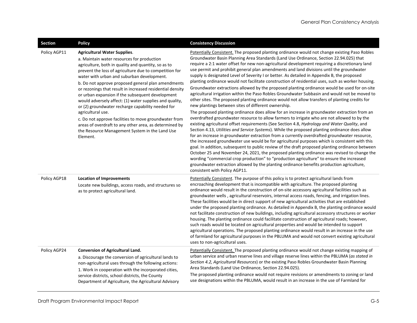| <b>Section</b> | <b>Policy</b>                                                                                                                                                                                                                                                                                                                                                                                                                                                                                                                                                                                                                                                                                                                                 | <b>Consistency Discussion</b>                                                                                                                                                                                                                                                                                                                                                                                                                                                                                                                                                                                                                                                                                                                                                                                                                                                                                                                                                                                                                                                                                                                                                                                                                                                                                                                                                                                                                                                                                                                                                                                                                                                                                                                                                                                                                                                                                                                                                      |
|----------------|-----------------------------------------------------------------------------------------------------------------------------------------------------------------------------------------------------------------------------------------------------------------------------------------------------------------------------------------------------------------------------------------------------------------------------------------------------------------------------------------------------------------------------------------------------------------------------------------------------------------------------------------------------------------------------------------------------------------------------------------------|------------------------------------------------------------------------------------------------------------------------------------------------------------------------------------------------------------------------------------------------------------------------------------------------------------------------------------------------------------------------------------------------------------------------------------------------------------------------------------------------------------------------------------------------------------------------------------------------------------------------------------------------------------------------------------------------------------------------------------------------------------------------------------------------------------------------------------------------------------------------------------------------------------------------------------------------------------------------------------------------------------------------------------------------------------------------------------------------------------------------------------------------------------------------------------------------------------------------------------------------------------------------------------------------------------------------------------------------------------------------------------------------------------------------------------------------------------------------------------------------------------------------------------------------------------------------------------------------------------------------------------------------------------------------------------------------------------------------------------------------------------------------------------------------------------------------------------------------------------------------------------------------------------------------------------------------------------------------------------|
| Policy AGP11   | <b>Agricultural Water Supplies.</b><br>a. Maintain water resources for production<br>agriculture, both in quality and quantity, so as to<br>prevent the loss of agriculture due to competition for<br>water with urban and suburban development.<br>b. Do not approve proposed general plan amendments<br>or rezonings that result in increased residential density<br>or urban expansion if the subsequent development<br>would adversely affect: (1) water supplies and quality,<br>or (2) groundwater recharge capability needed for<br>agricultural use.<br>c. Do not approve facilities to move groundwater from<br>areas of overdraft to any other area, as determined by<br>the Resource Management System in the Land Use<br>Element. | Potentially Consistent. The proposed planting ordinance would not change existing Paso Robles<br>Groundwater Basin Planning Area Standards (Land Use Ordinance, Section 22.94.025) that<br>require a 2:1 water offset for new non-agricultural development requiring a discretionary land<br>use permit and prohibit general plan amendments and land divisions until the groundwater<br>supply is designated Level of Severity I or better. As detailed in Appendix B, the proposed<br>planting ordinance would not facilitate construction of residential uses, such as worker housing.<br>Groundwater extractions allowed by the proposed planting ordinance would be used for on-site<br>agricultural irrigation within the Paso Robles Groundwater Subbasin and would not be moved to<br>other sites. The proposed planting ordinance would not allow transfers of planting credits for<br>new plantings between sites of different ownership.<br>The proposed planting ordinance does allow for an increase in groundwater extraction from an<br>overdrafted groundwater resource to allow farmers to irrigate who are not allowed to by the<br>existing agricultural offset requirements (See Section 4.8, Hydrology and Water Quality, and<br>Section 4.13, Utilities and Service Systems). While the proposed planting ordinance does allow<br>for an increase in groundwater extraction from a currently overdrafted groundwater resource,<br>the increased groundwater use would be for agricultural purposes which is consistent with this<br>goal. In addition, subsequent to public review of the draft proposed planting ordinance between<br>October 25 and November 24, 2021, the proposed planting ordinance was revised to change the<br>wording "commercial crop production" to "production agriculture" to ensure the increased<br>groundwater extraction allowed by the planting ordinance benefits production agriculture,<br>consistent with Policy AGP11. |
| Policy AGP18   | <b>Location of Improvements</b><br>Locate new buildings, access roads, and structures so<br>as to protect agricultural land.                                                                                                                                                                                                                                                                                                                                                                                                                                                                                                                                                                                                                  | Potentially Consistent. The purpose of this policy is to protect agricultural lands from<br>encroaching development that is incompatible with agriculture. The proposed planting<br>ordinance would result in the construction of on-site accessory agricultural facilities such as<br>groundwater wells, agricultural reservoirs, internal access roads, fencing, and irrigation lines.<br>These facilities would be in direct support of new agricultural activities that are established<br>under the proposed planting ordinance. As detailed in Appendix B, the planting ordinance would<br>not facilitate construction of new buildings, including agricultural accessory structures or worker<br>housing. The planting ordinance could facilitate construction of agricultural roads; however,<br>such roads would be located on agricultural properties and would be intended to support<br>agricultural operations. The proposed planting ordinance would result in an increase in the use<br>of farmland for agricultural purposes in the PBLUMA and would not convert existing agricultural<br>uses to non-agricultural uses.                                                                                                                                                                                                                                                                                                                                                                                                                                                                                                                                                                                                                                                                                                                                                                                                                                           |
| Policy AGP24   | <b>Conversion of Agricultural Land.</b><br>a. Discourage the conversion of agricultural lands to<br>non-agricultural uses through the following actions:<br>1. Work in cooperation with the incorporated cities,<br>service districts, school districts, the County<br>Department of Agriculture, the Agricultural Advisory                                                                                                                                                                                                                                                                                                                                                                                                                   | Potentially Consistent. The proposed planting ordinance would not change existing mapping of<br>urban service and urban reserve lines and village reserve lines within the PBLUMA (as stated in<br>Section 4.2, Agricultural Resources) or the existing Paso Robles Groundwater Basin Planning<br>Area Standards (Land Use Ordinance, Section 22.94.025).<br>The proposed planting ordinance would not require revisions or amendments to zoning or land<br>use designations within the PBLUMA, would result in an increase in the use of Farmland for                                                                                                                                                                                                                                                                                                                                                                                                                                                                                                                                                                                                                                                                                                                                                                                                                                                                                                                                                                                                                                                                                                                                                                                                                                                                                                                                                                                                                             |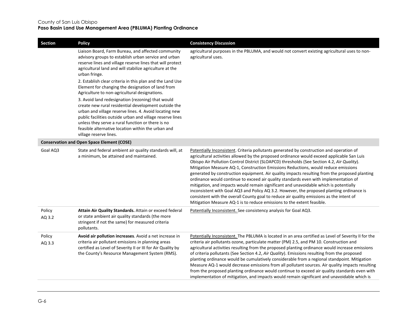| <b>Section</b>   | <b>Policy</b>                                                                                                                                                                                                                                                                                                                                                                                                                                                                                                                                                                                                                                                                                                                                                         | <b>Consistency Discussion</b>                                                                                                                                                                                                                                                                                                                                                                                                                                                                                                                                                                                                                                                                                                                                                                                                                                                                                                   |
|------------------|-----------------------------------------------------------------------------------------------------------------------------------------------------------------------------------------------------------------------------------------------------------------------------------------------------------------------------------------------------------------------------------------------------------------------------------------------------------------------------------------------------------------------------------------------------------------------------------------------------------------------------------------------------------------------------------------------------------------------------------------------------------------------|---------------------------------------------------------------------------------------------------------------------------------------------------------------------------------------------------------------------------------------------------------------------------------------------------------------------------------------------------------------------------------------------------------------------------------------------------------------------------------------------------------------------------------------------------------------------------------------------------------------------------------------------------------------------------------------------------------------------------------------------------------------------------------------------------------------------------------------------------------------------------------------------------------------------------------|
|                  | Liaison Board, Farm Bureau, and affected community<br>advisory groups to establish urban service and urban<br>reserve lines and village reserve lines that will protect<br>agricultural land and will stabilize agriculture at the<br>urban fringe.<br>2. Establish clear criteria in this plan and the Land Use<br>Element for changing the designation of land from<br>Agriculture to non-agricultural designations.<br>3. Avoid land redesignation (rezoning) that would<br>create new rural residential development outside the<br>urban and village reserve lines. 4. Avoid locating new<br>public facilities outside urban and village reserve lines<br>unless they serve a rural function or there is no<br>feasible alternative location within the urban and | agricultural purposes in the PBLUMA, and would not convert existing agricultural uses to non-<br>agricultural uses.                                                                                                                                                                                                                                                                                                                                                                                                                                                                                                                                                                                                                                                                                                                                                                                                             |
|                  | village reserve lines.<br><b>Conservation and Open Space Element (COSE)</b>                                                                                                                                                                                                                                                                                                                                                                                                                                                                                                                                                                                                                                                                                           |                                                                                                                                                                                                                                                                                                                                                                                                                                                                                                                                                                                                                                                                                                                                                                                                                                                                                                                                 |
| Goal AQ3         |                                                                                                                                                                                                                                                                                                                                                                                                                                                                                                                                                                                                                                                                                                                                                                       |                                                                                                                                                                                                                                                                                                                                                                                                                                                                                                                                                                                                                                                                                                                                                                                                                                                                                                                                 |
|                  | State and federal ambient air quality standards will, at<br>a minimum, be attained and maintained.                                                                                                                                                                                                                                                                                                                                                                                                                                                                                                                                                                                                                                                                    | Potentially Inconsistent. Criteria pollutants generated by construction and operation of<br>agricultural activities allowed by the proposed ordinance would exceed applicable San Luis<br>Obispo Air Pollution Control District (SLOAPCD) thresholds (See Section 4.2, Air Quality).<br>Mitigation Measure AQ-1, Construction Emissions Reductions, would reduce emissions<br>generated by construction equipment. Air quality impacts resulting from the proposed planting<br>ordinance would continue to exceed air quality standards even with implementation of<br>mitigation, and impacts would remain significant and unavoidable which is potentially<br>inconsistent with Goal AQ3 and Policy AQ 3.2. However, the proposed planting ordinance is<br>consistent with the overall County goal to reduce air quality emissions as the intent of<br>Mitigation Measure AQ-1 is to reduce emissions to the extent feasible. |
| Policy<br>AQ 3.2 | Attain Air Quality Standards. Attain or exceed federal<br>or state ambient air quality standards (the more<br>stringent if not the same) for measured criteria<br>pollutants.                                                                                                                                                                                                                                                                                                                                                                                                                                                                                                                                                                                         | Potentially Inconsistent. See consistency analysis for Goal AQ3.                                                                                                                                                                                                                                                                                                                                                                                                                                                                                                                                                                                                                                                                                                                                                                                                                                                                |
| Policy<br>AQ 3.3 | Avoid air pollution increases. Avoid a net increase in<br>criteria air pollutant emissions in planning areas<br>certified as Level of Severity II or III for Air Quality by<br>the County's Resource Management System (RMS).                                                                                                                                                                                                                                                                                                                                                                                                                                                                                                                                         | Potentially Inconsistent. The PBLUMA is located in an area certified as Level of Severity II for the<br>criteria air pollutants ozone, particulate matter (PM) 2.5, and PM 10. Construction and<br>agricultural activities resulting from the proposed planting ordinance would increase emissions<br>of criteria pollutants (See Section 4.2, Air Quality). Emissions resulting from the proposed<br>planting ordinance would be cumulatively considerable from a regional standpoint. Mitigation<br>Measure AQ-1 would decrease emissions from all pollutant sources. Air quality impacts resulting<br>from the proposed planting ordinance would continue to exceed air quality standards even with<br>implementation of mitigation, and impacts would remain significant and unavoidable which is                                                                                                                           |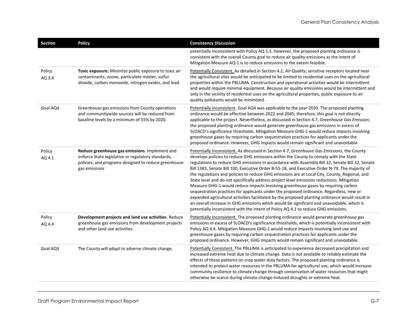| <b>Section</b>   | <b>Policy</b>                                                                                                                                                                 | <b>Consistency Discussion</b>                                                                                                                                                                                                                                                                                                                                                                                                                                                                                                                                                                                                                                                                                                                                                                                                                                                                                                                                                                                                                                 |
|------------------|-------------------------------------------------------------------------------------------------------------------------------------------------------------------------------|---------------------------------------------------------------------------------------------------------------------------------------------------------------------------------------------------------------------------------------------------------------------------------------------------------------------------------------------------------------------------------------------------------------------------------------------------------------------------------------------------------------------------------------------------------------------------------------------------------------------------------------------------------------------------------------------------------------------------------------------------------------------------------------------------------------------------------------------------------------------------------------------------------------------------------------------------------------------------------------------------------------------------------------------------------------|
|                  |                                                                                                                                                                               | potentially inconsistent with Policy AQ 3.3. However, the proposed planting ordinance is<br>consistent with the overall County goal to reduce air quality emissions as the intent of<br>Mitigation Measure AQ-1 is to reduce emissions to the extent feasible.                                                                                                                                                                                                                                                                                                                                                                                                                                                                                                                                                                                                                                                                                                                                                                                                |
| Policy<br>AQ 3.4 | Toxic exposure. Minimize public exposure to toxic air<br>contaminants, ozone, particulate matter, sulfur<br>dioxide, carbon monoxide, nitrogen oxides, and lead.              | Potentially Consistent. As detailed in Section 4.2, Air Quality, sensitive receptors located near<br>the agricultural sites would be anticipated to be limited to residential uses on the agricultural<br>properties within the PBLUMA. Construction and operational activities would be intermittent<br>and would require minimal equipment. Because air quality emissions would be intermittent and<br>only in the vicinity of residential uses on the agricultural properties, public exposure to air<br>quality pollutants would be minimized.                                                                                                                                                                                                                                                                                                                                                                                                                                                                                                            |
| Goal AQ4         | Greenhouse gas emissions from County operations<br>and communitywide sources will be reduced from<br>baseline levels by a minimum of 15% by 2020.                             | Potentially Inconsistent. Goal AQ4 was applicable to the year 2020. The proposed planting<br>ordinance would be effective between 2022 and 2045; therefore, this goal is not directly<br>applicable to the project. Nevertheless, as discussed in Section 4.7, Greenhouse Gas Emission,<br>the proposed planting ordinance would generate greenhouse gas emissions in excess of<br>SLOACD's significance thresholds. Mitigation Measure GHG-1 would reduce impacts involving<br>greenhouse gases by requiring carbon sequestration practices for applicants under the<br>proposed ordinance. However, GHG impacts would remain significant and unavoidable.                                                                                                                                                                                                                                                                                                                                                                                                   |
| Policy<br>AQ 4.1 | Reduce greenhouse gas emissions. Implement and<br>enforce State legislative or regulatory standards,<br>policies, and programs designed to reduce greenhouse<br>gas emissions | Potentially Inconsistent. As discussed in Section 4.7, Greenhouse Gas Emissions, the County<br>develops policies to reduce GHG emissions within the County to comply with the State<br>regulations to reduce GHG emissions in accordance with Assembly Bill 32, Senate Bill 32, Senate<br>Bill 1383, Senate Bill 100, Executive Order B-55-18, and Executive Order N-79. The majority of<br>the regulations and policies to reduce GHG emissions are at Local City, County, Regional, and<br>State level and do not specifically address project level emissions reductions. Mitigation<br>Measure GHG-1 would reduce impacts involving greenhouse gases by requiring carbon<br>sequestration practices for applicants under the proposed ordinance. Regardless, new or<br>expanded agricultural activities facilitated by the proposed planting ordinance would result in<br>an overall increase in GHG emissions which would be significant and unavoidable, which is<br>potentially inconsistent with the intent of Policy AQ 4.1 to reduce GHG emissions. |
| Policy<br>AQ 4.4 | Development projects and land use activities. Reduce<br>greenhouse gas emissions from development projects<br>and other land use activities.                                  | Potentially Inconsistent. The proposed planting ordinance would generate greenhouse gas<br>emissions in excess of SLOACD's significance thresholds, which is potentially inconsistent with<br>Policy AQ 4.4. Mitigation Measure GHG-1 would reduce impacts involving land use and<br>greenhouse gases by requiring carbon sequestration practices for applicants under the<br>proposed ordinance. However, GHG impacts would remain significant and unavoidable.                                                                                                                                                                                                                                                                                                                                                                                                                                                                                                                                                                                              |
| Goal AQ5         | The County will adapt to adverse climate change.                                                                                                                              | Potentially Consistent. The PBLUMA is anticipated to experience decreased precipitation and<br>increased extreme heat due to climate change. Data is not available to reliably estimate the<br>effects of these patterns on crop water duty factors. The proposed planting ordinance is<br>intended to protect water resources in the PBLUMA for agricultural use, which would increase<br>community resilience to climate change through conservation of water resources that might<br>otherwise be scarce during climate change-induced droughts or extreme heat.                                                                                                                                                                                                                                                                                                                                                                                                                                                                                           |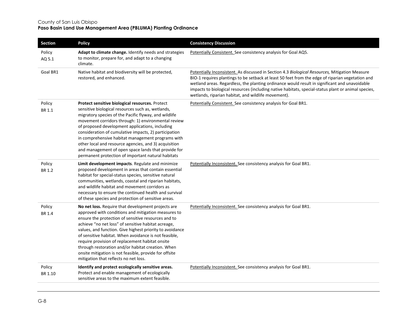| Section           | <b>Policy</b>                                                                                                                                                                                                                                                                                                                                                                                                                                                                                                                                               | <b>Consistency Discussion</b>                                                                                                                                                                                                                                                                                                                                                                                                                                     |
|-------------------|-------------------------------------------------------------------------------------------------------------------------------------------------------------------------------------------------------------------------------------------------------------------------------------------------------------------------------------------------------------------------------------------------------------------------------------------------------------------------------------------------------------------------------------------------------------|-------------------------------------------------------------------------------------------------------------------------------------------------------------------------------------------------------------------------------------------------------------------------------------------------------------------------------------------------------------------------------------------------------------------------------------------------------------------|
| Policy<br>AQ 5.1  | Adapt to climate change. Identify needs and strategies<br>to monitor, prepare for, and adapt to a changing<br>climate.                                                                                                                                                                                                                                                                                                                                                                                                                                      | Potentially Consistent. See consistency analysis for Goal AQ5.                                                                                                                                                                                                                                                                                                                                                                                                    |
| Goal BR1          | Native habitat and biodiversity will be protected,<br>restored, and enhanced.                                                                                                                                                                                                                                                                                                                                                                                                                                                                               | Potentially Inconsistent. As discussed in Section 4.3 Biological Resources, Mitigation Measure<br>BIO-1 requires plantings to be setback at least 50 feet from the edge of riparian vegetation and<br>wetland areas. Regardless, the planting ordinance would result in significant and unavoidable<br>impacts to biological resources (including native habitats, special-status plant or animal species,<br>wetlands, riparian habitat, and wildlife movement). |
| Policy<br>BR 1.1  | Protect sensitive biological resources. Protect<br>sensitive biological resources such as, wetlands,<br>migratory species of the Pacific flyway, and wildlife<br>movement corridors through: 1) environmental review<br>of proposed development applications, including<br>consideration of cumulative impacts, 2) participation<br>in comprehensive habitat management programs with<br>other local and resource agencies, and 3) acquisition<br>and management of open space lands that provide for<br>permanent protection of important natural habitats | Potentially Consistent. See consistency analysis for Goal BR1.                                                                                                                                                                                                                                                                                                                                                                                                    |
| Policy<br>BR 1.2  | Limit development impacts. Regulate and minimize<br>proposed development in areas that contain essential<br>habitat for special-status species, sensitive natural<br>communities, wetlands, coastal and riparian habitats,<br>and wildlife habitat and movement corridors as<br>necessary to ensure the continued health and survival<br>of these species and protection of sensitive areas.                                                                                                                                                                | Potentially Inconsistent. See consistency analysis for Goal BR1.                                                                                                                                                                                                                                                                                                                                                                                                  |
| Policy<br>BR 1.4  | No net loss. Require that development projects are<br>approved with conditions and mitigation measures to<br>ensure the protection of sensitive resources and to<br>achieve "no net loss" of sensitive habitat acreage,<br>values, and function. Give highest priority to avoidance<br>of sensitive habitat. When avoidance is not feasible,<br>require provision of replacement habitat onsite<br>through restoration and/or habitat creation. When<br>onsite mitigation is not feasible, provide for offsite<br>mitigation that reflects no net loss.     | Potentially Inconsistent. See consistency analysis for Goal BR1.                                                                                                                                                                                                                                                                                                                                                                                                  |
| Policy<br>BR 1.10 | Identify and protect ecologically sensitive areas.<br>Protect and enable management of ecologically<br>sensitive areas to the maximum extent feasible.                                                                                                                                                                                                                                                                                                                                                                                                      | Potentially Inconsistent. See consistency analysis for Goal BR1.                                                                                                                                                                                                                                                                                                                                                                                                  |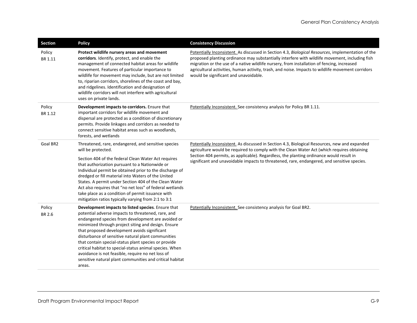| Section           | <b>Policy</b>                                                                                                                                                                                                                                                                                                                                                                                                                                                                                                                                                             | <b>Consistency Discussion</b>                                                                                                                                                                                                                                                                                                                                                                                                                    |
|-------------------|---------------------------------------------------------------------------------------------------------------------------------------------------------------------------------------------------------------------------------------------------------------------------------------------------------------------------------------------------------------------------------------------------------------------------------------------------------------------------------------------------------------------------------------------------------------------------|--------------------------------------------------------------------------------------------------------------------------------------------------------------------------------------------------------------------------------------------------------------------------------------------------------------------------------------------------------------------------------------------------------------------------------------------------|
| Policy<br>BR 1.11 | Protect wildlife nursery areas and movement<br>corridors. Identify, protect, and enable the<br>management of connected habitat areas for wildlife<br>movement. Features of particular importance to<br>wildlife for movement may include, but are not limited<br>to, riparian corridors, shorelines of the coast and bay,<br>and ridgelines. Identification and designation of<br>wildlife corridors will not interfere with agricultural<br>uses on private lands.                                                                                                       | Potentially Inconsistent. As discussed in Section 4.3, Biological Resources, implementation of the<br>proposed planting ordinance may substantially interfere with wildlife movement, including fish<br>migration or the use of a native wildlife nursery, from installation of fencing, increased<br>agricultural activities, human activity, trash, and noise. Impacts to wildlife movement corridors<br>would be significant and unavoidable. |
| Policy<br>BR 1.12 | Development impacts to corridors. Ensure that<br>important corridors for wildlife movement and<br>dispersal are protected as a condition of discretionary<br>permits. Provide linkages and corridors as needed to<br>connect sensitive habitat areas such as woodlands,<br>forests, and wetlands                                                                                                                                                                                                                                                                          | Potentially Inconsistent. See consistency analysis for Policy BR 1.11.                                                                                                                                                                                                                                                                                                                                                                           |
| Goal BR2          | Threatened, rare, endangered, and sensitive species<br>will be protected.<br>Section 404 of the federal Clean Water Act requires<br>that authorization pursuant to a Nationwide or<br>Individual permit be obtained prior to the discharge of<br>dredged or fill material into Waters of the United<br>States. A permit under Section 404 of the Clean Water<br>Act also requires that "no net loss" of federal wetlands<br>take place as a condition of permit issuance with<br>mitigation ratios typically varying from 2:1 to 3:1                                      | Potentially Inconsistent. As discussed in Section 4.3, Biological Resources, new and expanded<br>agriculture would be required to comply with the Clean Water Act (which requires obtaining<br>Section 404 permits, as applicable). Regardless, the planting ordinance would result in<br>significant and unavoidable impacts to threatened, rare, endangered, and sensitive species.                                                            |
| Policy<br>BR 2.6  | Development impacts to listed species. Ensure that<br>potential adverse impacts to threatened, rare, and<br>endangered species from development are avoided or<br>minimized through project siting and design. Ensure<br>that proposed development avoids significant<br>disturbance of sensitive natural plant communities<br>that contain special-status plant species or provide<br>critical habitat to special-status animal species. When<br>avoidance is not feasible, require no net loss of<br>sensitive natural plant communities and critical habitat<br>areas. | Potentially Inconsistent. See consistency analysis for Goal BR2.                                                                                                                                                                                                                                                                                                                                                                                 |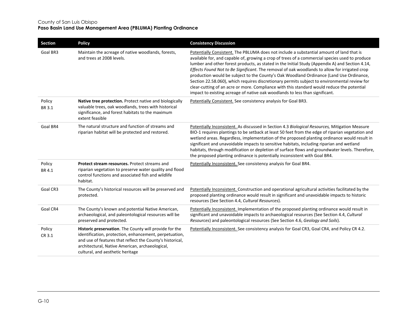| <b>Section</b>          | <b>Policy</b>                                                                                                                                                                                                                                                        | <b>Consistency Discussion</b>                                                                                                                                                                                                                                                                                                                                                                                                                                                                                                                                                                                                                                                                                                                                           |
|-------------------------|----------------------------------------------------------------------------------------------------------------------------------------------------------------------------------------------------------------------------------------------------------------------|-------------------------------------------------------------------------------------------------------------------------------------------------------------------------------------------------------------------------------------------------------------------------------------------------------------------------------------------------------------------------------------------------------------------------------------------------------------------------------------------------------------------------------------------------------------------------------------------------------------------------------------------------------------------------------------------------------------------------------------------------------------------------|
| Goal BR3                | Maintain the acreage of native woodlands, forests,<br>and trees at 2008 levels.                                                                                                                                                                                      | Potentially Consistent. The PBLUMA does not include a substantial amount of land that is<br>available for, and capable of, growing a crop of trees of a commercial species used to produce<br>lumber and other forest products, as stated in the Initial Study (Appendix A) and Section 4.14,<br>Effects Found Not to Be Significant. The removal of oak woodlands to allow for irrigated crop<br>production would be subject to the County's Oak Woodland Ordinance (Land Use Ordinance,<br>Section 22.58.060), which requires discretionary permits subject to environmental review for<br>clear-cutting of an acre or more. Compliance with this standard would reduce the potential<br>impact to existing acreage of native oak woodlands to less than significant. |
| Policy<br><b>BR 3.1</b> | Native tree protection. Protect native and biologically<br>valuable trees, oak woodlands, trees with historical<br>significance, and forest habitats to the maximum<br>extent feasible                                                                               | Potentially Consistent. See consistency analysis for Goal BR3.                                                                                                                                                                                                                                                                                                                                                                                                                                                                                                                                                                                                                                                                                                          |
| Goal BR4                | The natural structure and function of streams and<br>riparian habitat will be protected and restored.                                                                                                                                                                | Potentially Inconsistent. As discussed in Section 4.3 Biological Resources, Mitigation Measure<br>BIO-1 requires plantings to be setback at least 50 feet from the edge of riparian vegetation and<br>wetland areas. Regardless, implementation of the proposed planting ordinance would result in<br>significant and unavoidable impacts to sensitive habitats, including riparian and wetland<br>habitats, through modification or depletion of surface flows and groundwater levels. Therefore,<br>the proposed planting ordinance is potentially inconsistent with Goal BR4.                                                                                                                                                                                        |
| Policy<br>BR 4.1        | <b>Protect stream resources.</b> Protect streams and<br>riparian vegetation to preserve water quality and flood<br>control functions and associated fish and wildlife<br>habitat.                                                                                    | Potentially Inconsistent. See consistency analysis for Goal BR4.                                                                                                                                                                                                                                                                                                                                                                                                                                                                                                                                                                                                                                                                                                        |
| Goal CR3                | The County's historical resources will be preserved and<br>protected.                                                                                                                                                                                                | Potentially Inconsistent. Construction and operational agricultural activities facilitated by the<br>proposed planting ordinance would result in significant and unavoidable impacts to historic<br>resources (See Section 4.4, Cultural Resources).                                                                                                                                                                                                                                                                                                                                                                                                                                                                                                                    |
| Goal CR4                | The County's known and potential Native American,<br>archaeological, and paleontological resources will be<br>preserved and protected.                                                                                                                               | Potentially Inconsistent. Implementation of the proposed planting ordinance would result in<br>significant and unavoidable impacts to archaeological resources (See Section 4.4, Cultural<br>Resources) and paleontological resources (See Section 4.6, Geology and Soils).                                                                                                                                                                                                                                                                                                                                                                                                                                                                                             |
| Policy<br>CR 3.1        | Historic preservation. The County will provide for the<br>identification, protection, enhancement, perpetuation,<br>and use of features that reflect the County's historical,<br>architectural, Native American, archaeological,<br>cultural, and aesthetic heritage | Potentially Inconsistent. See consistency analysis for Goal CR3, Goal CR4, and Policy CR 4.2.                                                                                                                                                                                                                                                                                                                                                                                                                                                                                                                                                                                                                                                                           |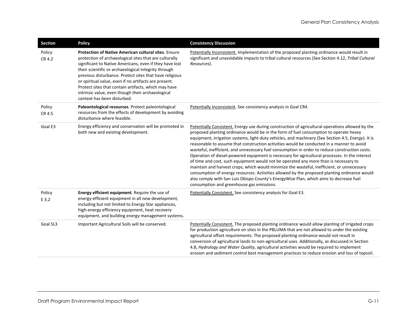| <b>Section</b>   | <b>Policy</b>                                                                                                                                                                                                                                                                                                                                                                                                                                                                                            | <b>Consistency Discussion</b>                                                                                                                                                                                                                                                                                                                                                                                                                                                                                                                                                                                                                                                                                                                                                                                                                                                                                                                                                                                                 |
|------------------|----------------------------------------------------------------------------------------------------------------------------------------------------------------------------------------------------------------------------------------------------------------------------------------------------------------------------------------------------------------------------------------------------------------------------------------------------------------------------------------------------------|-------------------------------------------------------------------------------------------------------------------------------------------------------------------------------------------------------------------------------------------------------------------------------------------------------------------------------------------------------------------------------------------------------------------------------------------------------------------------------------------------------------------------------------------------------------------------------------------------------------------------------------------------------------------------------------------------------------------------------------------------------------------------------------------------------------------------------------------------------------------------------------------------------------------------------------------------------------------------------------------------------------------------------|
| Policy<br>CR 4.2 | <b>Protection of Native American cultural sites. Ensure</b><br>protection of archaeological sites that are culturally<br>significant to Native Americans, even if they have lost<br>their scientific or archaeological integrity through<br>previous disturbance. Protect sites that have religious<br>or spiritual value, even if no artifacts are present.<br>Protect sites that contain artifacts, which may have<br>intrinsic value, even though their archaeological<br>context has been disturbed. | Potentially Inconsistent. Implementation of the proposed planting ordinance would result in<br>significant and unavoidable impacts to tribal cultural resources (See Section 4.12, Tribal Cultural<br>Resources).                                                                                                                                                                                                                                                                                                                                                                                                                                                                                                                                                                                                                                                                                                                                                                                                             |
| Policy<br>CR 4.5 | Paleontological resources. Protect paleontological<br>resources from the effects of development by avoiding<br>disturbance where feasible.                                                                                                                                                                                                                                                                                                                                                               | Potentially Inconsistent. See consistency analysis in Goal CR4.                                                                                                                                                                                                                                                                                                                                                                                                                                                                                                                                                                                                                                                                                                                                                                                                                                                                                                                                                               |
| Goal E3          | Energy efficiency and conservation will be promoted in<br>both new and existing development.                                                                                                                                                                                                                                                                                                                                                                                                             | Potentially Consistent. Energy use during construction of agricultural operations allowed by the<br>proposed planting ordinance would be in the form of fuel consumption to operate heavy<br>equipment, irrigation systems, light-duty vehicles, and machinery (See Section 4.5, Energy). It is<br>reasonable to assume that construction activities would be conducted in a manner to avoid<br>wasteful, inefficient, and unnecessary fuel consumption in order to reduce construction costs.<br>Operation of diesel-powered equipment is necessary for agricultural processes. In the interest<br>of time and cost, such equipment would not be operated any more than is necessary to<br>maintain and harvest crops, which would minimize the wasteful, inefficient, or unnecessary<br>consumption of energy resources. Activities allowed by the proposed planting ordinance would<br>also comply with San Luis Obispo County's EnergyWise Plan, which aims to decrease fuel<br>consumption and greenhouse gas emissions. |
| Policy<br>E 3.2  | <b>Energy efficient equipment.</b> Require the use of<br>energy-efficient equipment in all new development,<br>including but not limited to Energy Star appliances,<br>high-energy efficiency equipment, heat recovery<br>equipment, and building energy management systems.                                                                                                                                                                                                                             | Potentially Consistent. See consistency analysis for Goal E3.                                                                                                                                                                                                                                                                                                                                                                                                                                                                                                                                                                                                                                                                                                                                                                                                                                                                                                                                                                 |
| Goal SL3         | Important Agricultural Soils will be conserved.                                                                                                                                                                                                                                                                                                                                                                                                                                                          | Potentially Consistent. The proposed planting ordinance would allow planting of irrigated crops<br>for production agriculture on sites in the PBLUMA that are not allowed to under the existing<br>agricultural offset requirements. The proposed planting ordinance would not result in<br>conversion of agricultural lands to non-agricultural uses. Additionally, as discussed in Section<br>4.8, Hydrology and Water Quality, agricultural activities would be required to implement<br>erosion and sediment control best management practices to reduce erosion and loss of topsoil.                                                                                                                                                                                                                                                                                                                                                                                                                                     |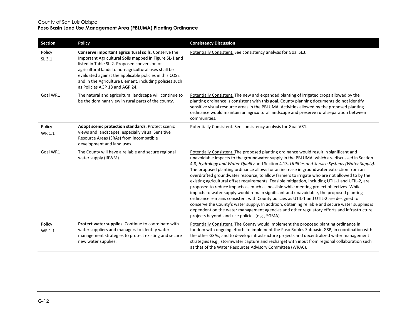| <b>Section</b>   | <b>Policy</b>                                                                                                                                                                                                                                                                                                                                                                | <b>Consistency Discussion</b>                                                                                                                                                                                                                                                                                                                                                                                                                                                                                                                                                                                                                                                                                                                                                                                                                                                                                                                                                                                                                                                                                                  |
|------------------|------------------------------------------------------------------------------------------------------------------------------------------------------------------------------------------------------------------------------------------------------------------------------------------------------------------------------------------------------------------------------|--------------------------------------------------------------------------------------------------------------------------------------------------------------------------------------------------------------------------------------------------------------------------------------------------------------------------------------------------------------------------------------------------------------------------------------------------------------------------------------------------------------------------------------------------------------------------------------------------------------------------------------------------------------------------------------------------------------------------------------------------------------------------------------------------------------------------------------------------------------------------------------------------------------------------------------------------------------------------------------------------------------------------------------------------------------------------------------------------------------------------------|
| Policy<br>SL 3.1 | Conserve important agricultural soils. Conserve the<br>Important Agricultural Soils mapped in Figure SL-1 and<br>listed in Table SL-2. Proposed conversion of<br>agricultural lands to non-agricultural uses shall be<br>evaluated against the applicable policies in this COSE<br>and in the Agriculture Element, including policies such<br>as Policies AGP 18 and AGP 24. | Potentially Consistent. See consistency analysis for Goal SL3.                                                                                                                                                                                                                                                                                                                                                                                                                                                                                                                                                                                                                                                                                                                                                                                                                                                                                                                                                                                                                                                                 |
| Goal WR1         | The natural and agricultural landscape will continue to<br>be the dominant view in rural parts of the county.                                                                                                                                                                                                                                                                | Potentially Consistent. The new and expanded planting of irrigated crops allowed by the<br>planting ordinance is consistent with this goal. County planning documents do not identify<br>sensitive visual resource areas in the PBLUMA. Activities allowed by the proposed planting<br>ordinance would maintain an agricultural landscape and preserve rural separation between<br>communities.                                                                                                                                                                                                                                                                                                                                                                                                                                                                                                                                                                                                                                                                                                                                |
| Policy<br>WR 1.1 | Adopt scenic protection standards. Protect scenic<br>views and landscapes, especially visual Sensitive<br>Resource Areas (SRAs) from incompatible<br>development and land uses.                                                                                                                                                                                              | Potentially Consistent. See consistency analysis for Goal VR1.                                                                                                                                                                                                                                                                                                                                                                                                                                                                                                                                                                                                                                                                                                                                                                                                                                                                                                                                                                                                                                                                 |
| Goal WR1         | The County will have a reliable and secure regional<br>water supply (IRWM).                                                                                                                                                                                                                                                                                                  | Potentially Consistent. The proposed planting ordinance would result in significant and<br>unavoidable impacts to the groundwater supply in the PBLUMA, which are discussed in Section<br>4.8, Hydrology and Water Quality and Section 4.13, Utilities and Service Systems (Water Supply).<br>The proposed planting ordinance allows for an increase in groundwater extraction from an<br>overdrafted groundwater resource, to allow farmers to irrigate who are not allowed to by the<br>existing agricultural offset requirements. Feasible mitigation, including UTIL-1 and UTIL-2, are<br>proposed to reduce impacts as much as possible while meeting project objectives. While<br>impacts to water supply would remain significant and unavoidable, the proposed planting<br>ordinance remains consistent with County policies as UTIL-1 and UTIL-2 are designed to<br>conserve the County's water supply. In addition, obtaining reliable and secure water supplies is<br>dependent on the water management agencies and other regulatory efforts and infrastructure<br>projects beyond land-use policies (e.g., SGMA). |
| Policy<br>WR 1.1 | Protect water supplies. Continue to coordinate with<br>water suppliers and managers to identify water<br>management strategies to protect existing and secure<br>new water supplies.                                                                                                                                                                                         | Potentially Consistent. The County would implement the proposed planting ordinance in<br>tandem with ongoing efforts to implement the Paso Robles Subbasin GSP, in coordination with<br>the other GSAs, and to develop infrastructure projects and decentralized water management<br>strategies (e.g., stormwater capture and recharge) with input from regional collaboration such<br>as that of the Water Resources Advisory Committee (WRAC).                                                                                                                                                                                                                                                                                                                                                                                                                                                                                                                                                                                                                                                                               |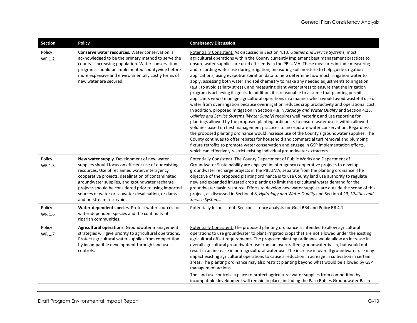| <b>Section</b>   | <b>Policy</b>                                                                                                                                                                                                                                                                                                                                                                                             | <b>Consistency Discussion</b>                                                                                                                                                                                                                                                                                                                                                                                                                                                                                                                                                                                                                                                                                                                                                                                                                                                                                                                                                                                                                                                                                                                                                                                                                                                                                                                                                                                                                                                                                                                                                                                                                                                                                                                                |
|------------------|-----------------------------------------------------------------------------------------------------------------------------------------------------------------------------------------------------------------------------------------------------------------------------------------------------------------------------------------------------------------------------------------------------------|--------------------------------------------------------------------------------------------------------------------------------------------------------------------------------------------------------------------------------------------------------------------------------------------------------------------------------------------------------------------------------------------------------------------------------------------------------------------------------------------------------------------------------------------------------------------------------------------------------------------------------------------------------------------------------------------------------------------------------------------------------------------------------------------------------------------------------------------------------------------------------------------------------------------------------------------------------------------------------------------------------------------------------------------------------------------------------------------------------------------------------------------------------------------------------------------------------------------------------------------------------------------------------------------------------------------------------------------------------------------------------------------------------------------------------------------------------------------------------------------------------------------------------------------------------------------------------------------------------------------------------------------------------------------------------------------------------------------------------------------------------------|
| Policy<br>WR 1.2 | <b>Conserve water resources.</b> Water conservation is<br>acknowledged to be the primary method to serve the<br>county's increasing population. Water conservation<br>programs should be implemented countywide before<br>more expensive and environmentally costly forms of<br>new water are secured.                                                                                                    | Potentially Consistent. As discussed in Section 4.13, Utilities and Service Systems, most<br>agricultural operations within the County currently implement best management practices to<br>ensure water supplies are used efficiently in the PBLUMA. These measures include measuring<br>and recording water use during irrigation, measuring soil moisture to help guide irrigation<br>applications, using evapotranspiration data to help determine how much irrigation water to<br>apply, assessing both water and soil chemistry to make any needed adjustments to irrigation<br>(e.g., to avoid salinity stress), and measuring plant water stress to ensure that the irrigation<br>program is achieving its goals. In addition, it is reasonable to assume that planting permit<br>applicants would manage agricultural operations in a manner which would avoid wasteful use of<br>water from overirrigation because overirrigation reduces crop productivity and operational cost.<br>In addition, proposed mitigation in Section 4.8, Hydrology and Water Quality and Section 4.13,<br>Utilities and Service Systems (Water Supply) requires well metering and use reporting for<br>plantings allowed by the proposed planting ordinance, to ensure water use is within allowed<br>volumes based on best management practices to incorporate water conservation. Regardless,<br>the proposed planting ordinance would increase use of the County's groundwater supplies. The<br>County continues to offer rebates for household and commercial turf removal and plumbing<br>fixture retrofits to promote water conservation and engage in GSP implementation efforts,<br>which can effectively restrict existing individual groundwater extractors. |
| Policy<br>WR 1.3 | New water supply. Development of new water<br>supplies should focus on efficient use of our existing<br>resources. Use of reclaimed water, interagency<br>cooperative projects, desalination of contaminated<br>groundwater supplies, and groundwater recharge<br>projects should be considered prior to using imported<br>sources of water or seawater desalination, or dams<br>and on-stream reservoirs | Potentially Consistent. The County Department of Public Works and Department of<br>Groundwater Sustainability are engaged in interagency cooperative projects to develop<br>groundwater recharge projects in the PBLUMA, separate from the planting ordinance. The<br>objective of the proposed planting ordinance is to use County land use authority to regulate<br>new and expanded irrigated crop planting to limit the agricultural water demand for the<br>groundwater basin resource. Efforts to develop new water supplies are outside the scope of this<br>project, as discussed in Section 4.8, Hydrology and Water Quality and Section 4.13, Utilities and<br>Service Systems.                                                                                                                                                                                                                                                                                                                                                                                                                                                                                                                                                                                                                                                                                                                                                                                                                                                                                                                                                                                                                                                                    |
| Policy<br>WR 1.6 | Water-dependent species. Protect water sources for<br>water-dependent species and the continuity of<br>riparian communities.                                                                                                                                                                                                                                                                              | Potentially Inconsistent. See consistency analysis for Goal BR4 and Policy BR 4.1.                                                                                                                                                                                                                                                                                                                                                                                                                                                                                                                                                                                                                                                                                                                                                                                                                                                                                                                                                                                                                                                                                                                                                                                                                                                                                                                                                                                                                                                                                                                                                                                                                                                                           |
| Policy<br>WR 1.7 | Agricultural operations. Groundwater management<br>strategies will give priority to agricultural operations.<br>Protect agricultural water supplies from competition<br>by incompatible development through land use<br>controls.                                                                                                                                                                         | Potentially Consistent. The proposed planting ordinance is intended to allow agricultural<br>operations to use groundwater to plant irrigated crops that are not allowed under the existing<br>agricultural offset requirements. The proposed planting ordinance would allow an increase in<br>overall agricultural groundwater use from an overdrafted groundwater basin, but would not<br>result in an increase in non-agricultural water use. The increase in overall groundwater use may<br>impact existing agricultural operations to cause a reduction in acreage in cultivation in certain<br>areas. The planting ordinance may also restrict planting beyond what would be allowed by GSP<br>management actions.<br>The land use controls in place to protect agricultural water supplies from competition by<br>incompatible development will remain in place, including the Paso Robles Groundwater Basin                                                                                                                                                                                                                                                                                                                                                                                                                                                                                                                                                                                                                                                                                                                                                                                                                                          |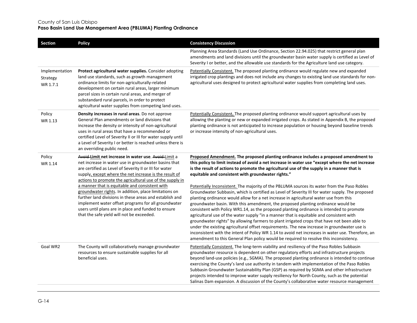| <b>Section</b>                         | <b>Policy</b>                                                                                                                                                                                                                                                                                                                                                                                                                                                                                                                                                                                                                 | <b>Consistency Discussion</b>                                                                                                                                                                                                                                                                                                                                                                                                                                                                                                                                                                                                                                                                                                                                                                                                                                                                                                                                                                                                                                                                                                                                                                                                                                                                                    |
|----------------------------------------|-------------------------------------------------------------------------------------------------------------------------------------------------------------------------------------------------------------------------------------------------------------------------------------------------------------------------------------------------------------------------------------------------------------------------------------------------------------------------------------------------------------------------------------------------------------------------------------------------------------------------------|------------------------------------------------------------------------------------------------------------------------------------------------------------------------------------------------------------------------------------------------------------------------------------------------------------------------------------------------------------------------------------------------------------------------------------------------------------------------------------------------------------------------------------------------------------------------------------------------------------------------------------------------------------------------------------------------------------------------------------------------------------------------------------------------------------------------------------------------------------------------------------------------------------------------------------------------------------------------------------------------------------------------------------------------------------------------------------------------------------------------------------------------------------------------------------------------------------------------------------------------------------------------------------------------------------------|
|                                        |                                                                                                                                                                                                                                                                                                                                                                                                                                                                                                                                                                                                                               | Planning Area Standards (Land Use Ordinance, Section 22.94.025) that restrict general plan<br>amendments and land divisions until the groundwater basin water supply is certified as Level of<br>Severity I or better, and the allowable use standards for the Agriculture land use category.                                                                                                                                                                                                                                                                                                                                                                                                                                                                                                                                                                                                                                                                                                                                                                                                                                                                                                                                                                                                                    |
| Implementation<br>Strategy<br>WR 1.7.1 | Protect agricultural water supplies. Consider adopting<br>land use standards, such as growth management<br>ordinance limits for non-agriculturally-related<br>development on certain rural areas, larger minimum<br>parcel sizes in certain rural areas, and merger of<br>substandard rural parcels, in order to protect<br>agricultural water supplies from competing land uses.                                                                                                                                                                                                                                             | Potentially Consistent. The proposed planting ordinance would regulate new and expanded<br>irrigated crop plantings and does not include any changes to existing land use standards for non-<br>agricultural uses designed to protect agricultural water supplies from completing land uses.                                                                                                                                                                                                                                                                                                                                                                                                                                                                                                                                                                                                                                                                                                                                                                                                                                                                                                                                                                                                                     |
| Policy<br>WR 1.13                      | Density increases in rural areas. Do not approve<br>General Plan amendments or land divisions that<br>increase the density or intensity of non-agricultural<br>uses in rural areas that have a recommended or<br>certified Level of Severity II or III for water supply until<br>a Level of Severity I or better is reached unless there is<br>an overriding public need.                                                                                                                                                                                                                                                     | Potentially Consistent. The proposed planting ordinance would support agricultural uses by<br>allowing the planting or new or expanded irrigated crops. As stated in Appendix B, the proposed<br>planting ordinance is not anticipated to increase population or housing beyond baseline trends<br>or increase intensity of non-agricultural uses.                                                                                                                                                                                                                                                                                                                                                                                                                                                                                                                                                                                                                                                                                                                                                                                                                                                                                                                                                               |
| Policy<br>WR 1.14                      | Avoid Limit net increase in water use. Avoid Limit a<br>net increase in water use in groundwater basins that<br>are certified as Level of Severity II or III for water<br>supply, except where the net increase is the result of<br>actions to promote the agricultural use of the supply in<br>a manner that is equitable and consistent with<br>groundwater rights. In addition, place limitations on<br>further land divisions in these areas and establish and<br>implement water offset programs for all groundwater<br>users until plans are in place and funded to ensure<br>that the safe yield will not be exceeded. | Proposed Amendment. The proposed planting ordinance includes a proposed amendment to<br>this policy to limit instead of avoid a net increase in water use "except where the net increase<br>is the result of actions to promote the agricultural use of the supply in a manner that is<br>equitable and consistent with groundwater rights."<br>Potentially Inconsistent. The majority of the PBLUMA sources its water from the Paso Robles<br>Groundwater Subbasin, which is certified as Level of Severity III for water supply. The proposed<br>planting ordinance would allow for a net increase in agricultural water use from this<br>groundwater basin. With this amendment, the proposed planting ordinance would be<br>consistent with Policy WR1.14, as the proposed planting ordinance is intended to promote<br>agricultural use of the water supply "in a manner that is equitable and consistent with<br>groundwater rights" by allowing farmers to plant irrigated crops that have not been able to<br>under the existing agricultural offset requirements. The new increase in groundwater use is<br>inconsistent with the intent of Policy WR 1.14 to avoid net increases in water use. Therefore, an<br>amendment to this General Plan policy would be required to resolve this inconsistency. |
| Goal WR2                               | The County will collaboratively manage groundwater<br>resources to ensure sustainable supplies for all<br>beneficial uses.                                                                                                                                                                                                                                                                                                                                                                                                                                                                                                    | Potentially Consistent. The long-term viability and resiliency of the Paso Robles Subbasin<br>groundwater resource is dependent on other regulatory efforts and infrastructure projects<br>beyond land-use policies (e.g., SGMA). The proposed planting ordinance is intended to continue<br>exercising the County's land use authority in tandem with implementation of the Paso Robles<br>Subbasin Groundwater Sustainability Plan (GSP) as required by SGMA and other infrastructure<br>projects intended to improve water supply resiliency for North County, such as the potential<br>Salinas Dam expansion. A discussion of the County's collaborative water resource management                                                                                                                                                                                                                                                                                                                                                                                                                                                                                                                                                                                                                           |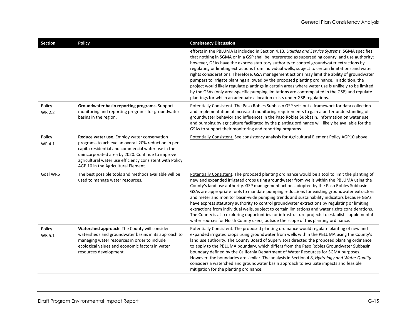| Section                 | <b>Policy</b>                                                                                                                                                                                                                                                                                                   | <b>Consistency Discussion</b>                                                                                                                                                                                                                                                                                                                                                                                                                                                                                                                                                                                                                                                                                                                                                                                                                                                            |
|-------------------------|-----------------------------------------------------------------------------------------------------------------------------------------------------------------------------------------------------------------------------------------------------------------------------------------------------------------|------------------------------------------------------------------------------------------------------------------------------------------------------------------------------------------------------------------------------------------------------------------------------------------------------------------------------------------------------------------------------------------------------------------------------------------------------------------------------------------------------------------------------------------------------------------------------------------------------------------------------------------------------------------------------------------------------------------------------------------------------------------------------------------------------------------------------------------------------------------------------------------|
|                         |                                                                                                                                                                                                                                                                                                                 | efforts in the PBLUMA is included in Section 4.13, Utilities and Service Systems. SGMA specifies<br>that nothing in SGMA or in a GSP shall be interpreted as superseding county land use authority;<br>however, GSAs have the express statutory authority to control groundwater extractions by<br>regulating or limiting extractions from individual wells, subject to certain limitations and water<br>rights considerations. Therefore, GSA management actions may limit the ability of groundwater<br>pumpers to irrigate plantings allowed by the proposed planting ordinance. In addition, the<br>project would likely regulate plantings in certain areas where water use is unlikely to be limited<br>by the GSAs (only area-specific pumping limitations are contemplated in the GSP) and regulate<br>plantings for which an adequate allocation exists under GSP regulations.  |
| Policy<br><b>WR 2.2</b> | Groundwater basin reporting programs. Support<br>monitoring and reporting programs for groundwater<br>basins in the region.                                                                                                                                                                                     | Potentially Consistent. The Paso Robles Subbasin GSP sets out a framework for data collection<br>and implementation of increased monitoring requirements to gain a better understanding of<br>groundwater behavior and influences in the Paso Robles Subbasin. Information on water use<br>and pumping by agriculture facilitated by the planting ordinance will likely be available for the<br>GSAs to support their monitoring and reporting programs.                                                                                                                                                                                                                                                                                                                                                                                                                                 |
| Policy<br>WR 4.1        | Reduce water use. Employ water conservation<br>programs to achieve an overall 20% reduction in per<br>capita residential and commercial water use in the<br>unincorporated area by 2020. Continue to improve<br>agricultural water use efficiency consistent with Policy<br>AGP 10 in the Agricultural Element. | Potentially Consistent. See consistency analysis for Agricultural Element Policy AGP10 above.                                                                                                                                                                                                                                                                                                                                                                                                                                                                                                                                                                                                                                                                                                                                                                                            |
| Goal WR5                | The best possible tools and methods available will be<br>used to manage water resources.                                                                                                                                                                                                                        | Potentially Consistent. The proposed planting ordinance would be a tool to limit the planting of<br>new and expanded irrigated crops using groundwater from wells within the PBLUMA using the<br>County's land use authority. GSP management actions adopted by the Paso Robles Subbasin<br>GSAs are appropriate tools to mandate pumping reductions for existing groundwater extractors<br>and meter and monitor basin-wide pumping trends and sustainability indicators because GSAs<br>have express statutory authority to control groundwater extractions by regulating or limiting<br>extractions from individual wells, subject to certain limitations and water rights considerations.<br>The County is also exploring opportunities for infrastructure projects to establish supplemental<br>water sources for North County users, outside the scope of this planting ordinance. |
| Policy<br>WR 5.1        | Watershed approach. The County will consider<br>watersheds and groundwater basins in its approach to<br>managing water resources in order to include<br>ecological values and economic factors in water<br>resources development.                                                                               | Potentially Consistent. The proposed planting ordinance would regulate planting of new and<br>expanded irrigated crops using groundwater from wells within the PBLUMA using the County's<br>land use authority. The County Board of Supervisors directed the proposed planting ordinance<br>to apply to the PBLUMA boundary, which differs from the Paso Robles Groundwater Subbasin<br>boundary defined by the California Department of Water Resources for SGMA purposes.<br>However, the boundaries are similar. The analysis in Section 4.8, Hydrology and Water Quality<br>considers a watershed and groundwater basin approach to evaluate impacts and feasible<br>mitigation for the planting ordinance.                                                                                                                                                                          |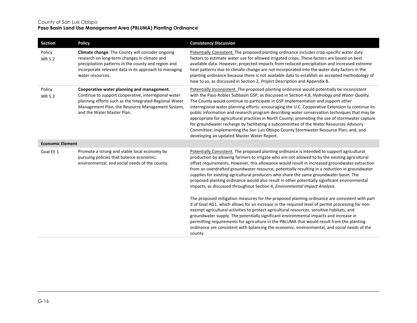| Section                 | <b>Policy</b>                                                                                                                                                                                                                                  | <b>Consistency Discussion</b>                                                                                                                                                                                                                                                                                                                                                                                                                                                                                                                                                                                                                                                                                                                                                                                            |
|-------------------------|------------------------------------------------------------------------------------------------------------------------------------------------------------------------------------------------------------------------------------------------|--------------------------------------------------------------------------------------------------------------------------------------------------------------------------------------------------------------------------------------------------------------------------------------------------------------------------------------------------------------------------------------------------------------------------------------------------------------------------------------------------------------------------------------------------------------------------------------------------------------------------------------------------------------------------------------------------------------------------------------------------------------------------------------------------------------------------|
| Policy<br>WR 5.2        | Climate change. The County will consider ongoing<br>research on long-term changes in climate and<br>precipitation patterns in the county and region and<br>incorporate relevant data in its approach to managing<br>water resources.           | Potentially Consistent. The proposed planting ordinance includes crop-specific water duty<br>factors to estimate water use for allowed irrigated crops. These factors are based on best<br>available data. However, projected impacts from reduced precipitation and increased extreme<br>heat patterns due to climate change are not incorporated into the water duty factors in the<br>planting ordinance because there is not available data to establish an accepted methodology of<br>how to so, as discussed in Section 2, Project Description and Appendix B.                                                                                                                                                                                                                                                     |
| Policy<br><b>WR 5.3</b> | Cooperative water planning and management.<br>Continue to support cooperative, interregional water<br>planning efforts such as the Integrated Regional Water<br>Management Plan, the Resource Management System,<br>and the Water Master Plan. | Potentially Inconsistent. The proposed planting ordinance would potentially be inconsistent<br>with the Paso Robles Subbasin GSP, as discussed in Section 4.8, Hydrology and Water Quality.<br>The County would continue to participate in GSP implementation and support other<br>interregional water planning efforts: encouraging the U.C. Cooperative Extension to continue its<br>public information and research program describing water conservation techniques that may be<br>appropriate for agricultural practices in North County; promoting the use of stormwater capture<br>for groundwater recharge by facilitating a subcommittee of the Water Resources Advisory<br>Committee; implementing the San Luis Obispo County Stormwater Resource Plan; and; and<br>developing an updated Master Water Report. |
| <b>Economic Element</b> |                                                                                                                                                                                                                                                |                                                                                                                                                                                                                                                                                                                                                                                                                                                                                                                                                                                                                                                                                                                                                                                                                          |
| Goal EE 1               | Promote a strong and viable local economy by<br>pursuing policies that balance economic,<br>environmental, and social needs of the county.                                                                                                     | Potentially Consistent. The proposed planting ordinance is intended to support agricultural<br>production by allowing farmers to irrigate who are not allowed to by the existing agricultural<br>offset requirements. However, this allowance would result in increased groundwater extraction<br>from an overdrafted groundwater resource, potentially resulting in a reduction in groundwater<br>supplies for existing agricultural producers who share the same groundwater basin. The<br>proposed planting ordinance would also result in other potentially significant environmental<br>impacts, as discussed throughout Section 4, Environmental Impact Analysis.                                                                                                                                                  |
|                         |                                                                                                                                                                                                                                                | The proposed mitigation measures for the proposed planting ordinance are consistent with part<br>d of Goal AG1, which allows for an increase in the required level of permit processing for non-<br>exempt agricultural activities to protect agricultural resources, sensitive habitats, and<br>groundwater supply. The potentially significant environmental impacts and increase in<br>permitting requirements for agriculture in the PBLUMA that would result from the planting<br>ordinance are consistent with balancing the economic, environmental, and social needs of the<br>county.                                                                                                                                                                                                                           |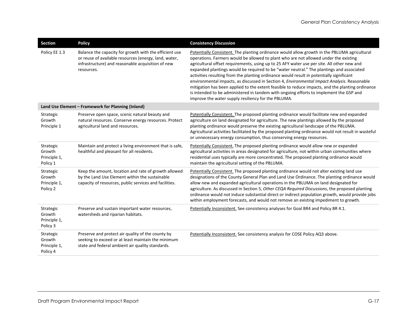| Section                                         | <b>Policy</b>                                                                                                                                                                      | <b>Consistency Discussion</b>                                                                                                                                                                                                                                                                                                                                                                                                                                                                                                                                                                                                                                                                                                                                                                                                  |
|-------------------------------------------------|------------------------------------------------------------------------------------------------------------------------------------------------------------------------------------|--------------------------------------------------------------------------------------------------------------------------------------------------------------------------------------------------------------------------------------------------------------------------------------------------------------------------------------------------------------------------------------------------------------------------------------------------------------------------------------------------------------------------------------------------------------------------------------------------------------------------------------------------------------------------------------------------------------------------------------------------------------------------------------------------------------------------------|
| Policy EE 1.3                                   | Balance the capacity for growth with the efficient use<br>or reuse of available resources (energy, land, water,<br>infrastructure) and reasonable acquisition of new<br>resources. | Potentially Consistent. The planting ordinance would allow growth in the PBLUMA agricultural<br>operations. Farmers would be allowed to plant who are not allowed under the existing<br>agricultural offset requirements, using up to 25 AFY water use per site. All other new and<br>expanded plantings would be required to be "water neutral." The plantings and associated<br>activities resulting from the planting ordinance would result in potentially significant<br>environmental impacts, as discussed in Section 4, Environmental Impact Analysis. Reasonable<br>mitigation has been applied to the extent feasible to reduce impacts, and the planting ordinance<br>is intended to be administered in tandem with ongoing efforts to implement the GSP and<br>improve the water supply resiliency for the PBLUMA. |
|                                                 | Land Use Element - Framework for Planning (Inland)                                                                                                                                 |                                                                                                                                                                                                                                                                                                                                                                                                                                                                                                                                                                                                                                                                                                                                                                                                                                |
| Strategic<br>Growth<br>Principle 1              | Preserve open space, scenic natural beauty and<br>natural resources. Conserve energy resources. Protect<br>agricultural land and resources.                                        | Potentially Consistent. The proposed planting ordinance would facilitate new and expanded<br>agriculture on land designated for agriculture. The new plantings allowed by the proposed<br>planting ordinance would preserve the existing agricultural landscape of the PBLUMA.<br>Agricultural activities facilitated by the proposed planting ordinance would not result in wasteful<br>or unnecessary energy consumption, thus conserving energy resources.                                                                                                                                                                                                                                                                                                                                                                  |
| Strategic<br>Growth<br>Principle 1,<br>Policy 1 | Maintain and protect a living environment that is safe,<br>healthful and pleasant for all residents.                                                                               | Potentially Consistent. The proposed planting ordinance would allow new or expanded<br>agricultural activities in areas designated for agriculture, not within urban communities where<br>residential uses typically are more concentrated. The proposed planting ordinance would<br>maintain the agricultural setting of the PBLUMA.                                                                                                                                                                                                                                                                                                                                                                                                                                                                                          |
| Strategic<br>Growth<br>Principle 1,<br>Policy 2 | Keep the amount, location and rate of growth allowed<br>by the Land Use Element within the sustainable<br>capacity of resources, public services and facilities.                   | Potentially Consistent. The proposed planting ordinance would not alter existing land use<br>designations of the County General Plan and Land Use Ordinance. The planting ordinance would<br>allow new and expanded agricultural operations in the PBLUMA on land designated for<br>agriculture. As discussed in Section 5, Other CEQA Required Discussions, the proposed planting<br>ordinance would not induce substantial direct or indirect population growth, would provide jobs<br>within employment forecasts, and would not remove an existing impediment to growth.                                                                                                                                                                                                                                                   |
| Strategic<br>Growth<br>Principle 1,<br>Policy 3 | Preserve and sustain important water resources,<br>watersheds and riparian habitats.                                                                                               | Potentially Inconsistent. See consistency analyses for Goal BR4 and Policy BR 4.1.                                                                                                                                                                                                                                                                                                                                                                                                                                                                                                                                                                                                                                                                                                                                             |
| Strategic<br>Growth<br>Principle 1,<br>Policy 4 | Preserve and protect air quality of the county by<br>seeking to exceed or at least maintain the minimum<br>state and federal ambient air quality standards.                        | Potentially Inconsistent. See consistency analysis for COSE Policy AQ3 above.                                                                                                                                                                                                                                                                                                                                                                                                                                                                                                                                                                                                                                                                                                                                                  |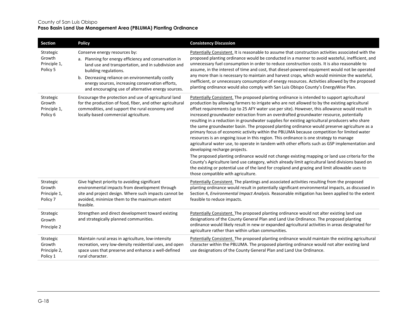| Section                                         | <b>Policy</b>                                                                                                                                                                                                                                                                                                                        | <b>Consistency Discussion</b>                                                                                                                                                                                                                                                                                                                                                                                                                                                                                                                                                                                                                                                                                                                                                                                                                                                                                                                                                                                                                                                                                                                                                                                                                                       |
|-------------------------------------------------|--------------------------------------------------------------------------------------------------------------------------------------------------------------------------------------------------------------------------------------------------------------------------------------------------------------------------------------|---------------------------------------------------------------------------------------------------------------------------------------------------------------------------------------------------------------------------------------------------------------------------------------------------------------------------------------------------------------------------------------------------------------------------------------------------------------------------------------------------------------------------------------------------------------------------------------------------------------------------------------------------------------------------------------------------------------------------------------------------------------------------------------------------------------------------------------------------------------------------------------------------------------------------------------------------------------------------------------------------------------------------------------------------------------------------------------------------------------------------------------------------------------------------------------------------------------------------------------------------------------------|
| Strategic<br>Growth<br>Principle 1,<br>Policy 5 | Conserve energy resources by:<br>a. Planning for energy efficiency and conservation in<br>land use and transportation, and in subdivision and<br>building regulations.<br>b. Decreasing reliance on environmentally costly<br>energy sources, increasing conservation efforts,<br>and encouraging use of alternative energy sources. | Potentially Consistent. It is reasonable to assume that construction activities associated with the<br>proposed planting ordinance would be conducted in a manner to avoid wasteful, inefficient, and<br>unnecessary fuel consumption in order to reduce construction costs. It is also reasonable to<br>assume, in the interest of time and cost, that diesel-powered equipment would not be operated<br>any more than is necessary to maintain and harvest crops, which would minimize the wasteful,<br>inefficient, or unnecessary consumption of energy resources. Activities allowed by the proposed<br>planting ordinance would also comply with San Luis Obispo County's EnergyWise Plan.                                                                                                                                                                                                                                                                                                                                                                                                                                                                                                                                                                    |
| Strategic<br>Growth<br>Principle 1,<br>Policy 6 | Encourage the protection and use of agricultural land<br>for the production of food, fiber, and other agricultural<br>commodities, and support the rural economy and<br>locally-based commercial agriculture.                                                                                                                        | Potentially Consistent. The proposed planting ordinance is intended to support agricultural<br>production by allowing farmers to irrigate who are not allowed to by the existing agricultural<br>offset requirements (up to 25 AFY water use per site). However, this allowance would result in<br>increased groundwater extraction from an overdrafted groundwater resource, potentially<br>resulting in a reduction in groundwater supplies for existing agricultural producers who share<br>the same groundwater basin. The proposed planting ordinance would preserve agriculture as a<br>primary focus of economic activity within the PBLUMA because competition for limited water<br>resources is an ongoing issue in this region. This ordinance is one strategy to manage<br>agricultural water use, to operate in tandem with other efforts such as GSP implementation and<br>developing recharge projects.<br>The proposed planting ordinance would not change existing mapping or land use criteria for the<br>County's Agriculture land use category, which already limit agricultural land divisions based on<br>the existing or potential use of the land for cropland and grazing and limit allowable uses to<br>those compatible with agriculture. |
| Strategic<br>Growth<br>Principle 1,<br>Policy 7 | Give highest priority to avoiding significant<br>environmental impacts from development through<br>site and project design. Where such impacts cannot be<br>avoided, minimize them to the maximum extent<br>feasible.                                                                                                                | Potentially Consistent. The plantings and associated activities resulting from the proposed<br>planting ordinance would result in potentially significant environmental impacts, as discussed in<br>Section 4, Environmental Impact Analysis. Reasonable mitigation has been applied to the extent<br>feasible to reduce impacts.                                                                                                                                                                                                                                                                                                                                                                                                                                                                                                                                                                                                                                                                                                                                                                                                                                                                                                                                   |
| Strategic<br>Growth<br>Principle 2              | Strengthen and direct development toward existing<br>and strategically planned communities.                                                                                                                                                                                                                                          | Potentially Consistent. The proposed planting ordinance would not alter existing land use<br>designations of the County General Plan and Land Use Ordinance. The proposed planting<br>ordinance would likely result in new or expanded agricultural activities in areas designated for<br>agriculture rather than within urban communities.                                                                                                                                                                                                                                                                                                                                                                                                                                                                                                                                                                                                                                                                                                                                                                                                                                                                                                                         |
| Strategic<br>Growth<br>Principle 2,<br>Policy 1 | Maintain rural areas in agriculture, low-intensity<br>recreation, very low-density residential uses, and open<br>space uses that preserve and enhance a well-defined<br>rural character.                                                                                                                                             | Potentially Consistent. The proposed planting ordinance would maintain the existing agricultural<br>character within the PBLUMA. The proposed planting ordinance would not alter existing land<br>use designations of the County General Plan and Land Use Ordinance.                                                                                                                                                                                                                                                                                                                                                                                                                                                                                                                                                                                                                                                                                                                                                                                                                                                                                                                                                                                               |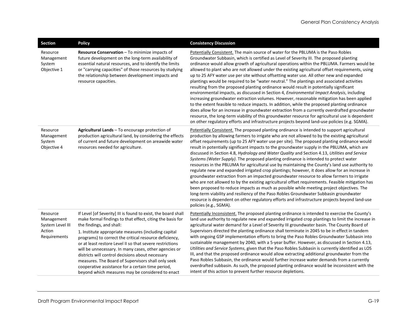| <b>Section</b>                                                       | <b>Policy</b>                                                                                                                                                                                                                                                                                                                                                                                                                                                                                                                                                                                                    | <b>Consistency Discussion</b>                                                                                                                                                                                                                                                                                                                                                                                                                                                                                                                                                                                                                                                                                                                                                                                                                                                                                                                                                                                                                                                                                                                                                                                                                                                                                |
|----------------------------------------------------------------------|------------------------------------------------------------------------------------------------------------------------------------------------------------------------------------------------------------------------------------------------------------------------------------------------------------------------------------------------------------------------------------------------------------------------------------------------------------------------------------------------------------------------------------------------------------------------------------------------------------------|--------------------------------------------------------------------------------------------------------------------------------------------------------------------------------------------------------------------------------------------------------------------------------------------------------------------------------------------------------------------------------------------------------------------------------------------------------------------------------------------------------------------------------------------------------------------------------------------------------------------------------------------------------------------------------------------------------------------------------------------------------------------------------------------------------------------------------------------------------------------------------------------------------------------------------------------------------------------------------------------------------------------------------------------------------------------------------------------------------------------------------------------------------------------------------------------------------------------------------------------------------------------------------------------------------------|
| Resource<br>Management<br>System<br>Objective 1                      | Resource Conservation - To minimize impacts of<br>future development on the long-term availability of<br>essential natural resources, and to identify the limits<br>or "carrying capacities" of those resources by studying<br>the relationship between development impacts and<br>resource capacities.                                                                                                                                                                                                                                                                                                          | Potentially Consistent. The main source of water for the PBLUMA is the Paso Robles<br>Groundwater Subbasin, which is certified as Level of Severity III. The proposed planting<br>ordinance would allow growth of agricultural operations within the PBLUMA. Farmers would be<br>allowed to plant who are not allowed under the existing agricultural offset requirements, using<br>up to 25 AFY water use per site without offsetting water use. All other new and expanded<br>plantings would be required to be "water neutral." The plantings and associated activities<br>resulting from the proposed planting ordinance would result in potentially significant<br>environmental impacts, as discussed in Section 4, Environmental Impact Analysis, including<br>increasing groundwater extraction volumes. However, reasonable mitigation has been applied<br>to the extent feasible to reduce impacts. In addition, while the proposed planting ordinance<br>does allow for an increase in groundwater extraction from a currently overdrafted groundwater<br>resource, the long-term viability of this groundwater resource for agricultural use is dependent<br>on other regulatory efforts and infrastructure projects beyond land-use policies (e.g. SGMA).                                       |
| Resource<br>Management<br>System<br>Objective 4                      | Agricultural Lands - To encourage protection of<br>production agricultural land, by considering the effects<br>of current and future development on areawide water<br>resources needed for agriculture.                                                                                                                                                                                                                                                                                                                                                                                                          | Potentially Consistent. The proposed planting ordinance is intended to support agricultural<br>production by allowing farmers to irrigate who are not allowed to by the existing agricultural<br>offset requirements (up to 25 AFY water use per site). The proposed planting ordinance would<br>result in potentially significant impacts to the groundwater supply in the PBLUMA, which are<br>discussed in Section 4.8, Hydrology and Water Quality and Section 4.13, Utilities and Service<br>Systems (Water Supply). The proposed planting ordinance is intended to protect water<br>resources in the PBLUMA for agricultural use by maintaining the County's land use authority to<br>regulate new and expanded irrigated crop plantings; however, it does allow for an increase in<br>groundwater extraction from an impacted groundwater resource to allow farmers to irrigate<br>who are not allowed to by the existing agricultural offset requirements. Feasible mitigation has<br>been proposed to reduce impacts as much as possible while meeting project objectives. The<br>long-term viability and resiliency of the Paso Robles Groundwater Subbasin groundwater<br>resource is dependent on other regulatory efforts and infrastructure projects beyond land-use<br>policies (e.g., SGMA). |
| Resource<br>Management<br>System Level III<br>Action<br>Requirements | If Level [of Severity] III is found to exist, the board shall<br>make formal findings to that effect, citing the basis for<br>the findings, and shall:<br>1. Institute appropriate measures (including capital<br>programs) to correct the critical resource deficiency,<br>or at least restore Level II so that severe restrictions<br>will be unnecessary. In many cases, other agencies or<br>districts will control decisions about necessary<br>measures. The Board of Supervisors shall only seek<br>cooperative assistance for a certain time period,<br>beyond which measures may be considered to enact | Potentially Inconsistent. The proposed planting ordinance is intended to exercise the County's<br>land use authority to regulate new and expanded irrigated crop plantings to limit the increase in<br>agricultural water demand for a Level of Severity III groundwater basin. The County Board of<br>Supervisors directed the planting ordinance shall terminate in 2045 to be in effect in tandem<br>with ongoing GSP implementation efforts to bring the Paso Robles Groundwater Subbasin into<br>sustainable management by 2040, with a 5-year buffer. However, as discussed in Section 4.13,<br>Utilities and Service Systems, given that the Paso Robles Subbasin is currently identified as LOS<br>III, and that the proposed ordinance would allow extracting additional groundwater from the<br>Paso Robles Subbasin, the ordinance would further increase water demands from a currently<br>overdrafted subbasin. As such, the proposed planting ordinance would be inconsistent with the<br>intent of this action to prevent further resource depletions.                                                                                                                                                                                                                                        |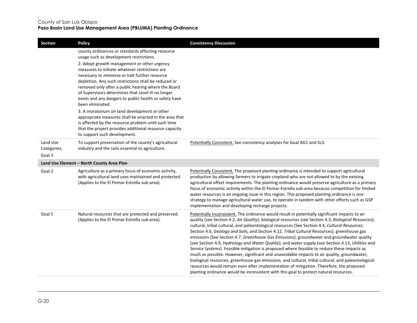| Section                           | <b>Policy</b>                                                                                                                                                                                                                                                                                                                                                                                      | <b>Consistency Discussion</b>                                                                                                                                                                                                                                                                                                                                                                                                                                                                                                                                                                                                                                                                                                                                                                                                                                                                                                                                                                                                                                                                        |
|-----------------------------------|----------------------------------------------------------------------------------------------------------------------------------------------------------------------------------------------------------------------------------------------------------------------------------------------------------------------------------------------------------------------------------------------------|------------------------------------------------------------------------------------------------------------------------------------------------------------------------------------------------------------------------------------------------------------------------------------------------------------------------------------------------------------------------------------------------------------------------------------------------------------------------------------------------------------------------------------------------------------------------------------------------------------------------------------------------------------------------------------------------------------------------------------------------------------------------------------------------------------------------------------------------------------------------------------------------------------------------------------------------------------------------------------------------------------------------------------------------------------------------------------------------------|
|                                   | county ordinances or standards affecting resource<br>usage such as development restrictions.                                                                                                                                                                                                                                                                                                       |                                                                                                                                                                                                                                                                                                                                                                                                                                                                                                                                                                                                                                                                                                                                                                                                                                                                                                                                                                                                                                                                                                      |
|                                   | 2. Adopt growth management or other urgency<br>measures to initiate whatever restrictions are<br>necessary to minimize or halt further resource<br>depletion. Any such restrictions shall be reduced or<br>removed only after a public hearing where the Board<br>of Supervisors determines that Level III no longer<br>exists and any dangers to public health or safety have<br>been eliminated. |                                                                                                                                                                                                                                                                                                                                                                                                                                                                                                                                                                                                                                                                                                                                                                                                                                                                                                                                                                                                                                                                                                      |
|                                   | 3. A moratorium on land development or other<br>appropriate measures shall be enacted in the area that<br>is affected by the resource problem until such time<br>that the project provides additional resource capacity<br>to support such development.                                                                                                                                            |                                                                                                                                                                                                                                                                                                                                                                                                                                                                                                                                                                                                                                                                                                                                                                                                                                                                                                                                                                                                                                                                                                      |
| Land Use<br>Categories,<br>Goal 3 | To support preservation of the county's agricultural<br>industry and the soils essential to agriculture.                                                                                                                                                                                                                                                                                           | Potentially Consistent. See consistency analyses for Goal AG1 and SL3.                                                                                                                                                                                                                                                                                                                                                                                                                                                                                                                                                                                                                                                                                                                                                                                                                                                                                                                                                                                                                               |
|                                   | Land Use Element - North County Area Plan                                                                                                                                                                                                                                                                                                                                                          |                                                                                                                                                                                                                                                                                                                                                                                                                                                                                                                                                                                                                                                                                                                                                                                                                                                                                                                                                                                                                                                                                                      |
| Goal 2                            | Agriculture as a primary focus of economic activity,<br>with agricultural land uses maintained and protected.<br>(Applies to the El Pomar-Estrella sub-area).                                                                                                                                                                                                                                      | Potentially Consistent. The proposed planting ordinance is intended to support agricultural<br>production by allowing farmers to irrigate cropland who are not allowed to by the existing<br>agricultural offset requirements. The planting ordinance would preserve agriculture as a primary<br>focus of economic activity within the El Pomar-Estrella sub-area because competition for limited<br>water resources is an ongoing issue in this region. This proposed planting ordinance is one<br>strategy to manage agricultural water use, to operate in tandem with other efforts such as GSP<br>implementation and developing recharge projects.                                                                                                                                                                                                                                                                                                                                                                                                                                               |
| Goal 5                            | Natural resources that are protected and preserved.<br>(Applies to the El Pomar-Estrella sub-area).                                                                                                                                                                                                                                                                                                | Potentially Inconsistent. The ordinance would result in potentially significant impacts to air<br>quality (see Section 4.2, Air Quality); biological resources (see Section 4.3, Biological Resources);<br>cultural, tribal cultural, and paleontological resources (See Section 4.4, Cultural Resources;<br>Section 4.6, Geology and Soils, and Section 4.12, Tribal Cultural Resources); greenhouse gas<br>emissions (See Section 4.7, Greenhouse Gas Emissions); groundwater and groundwater quality<br>(see Section 4.9, Hydrology and Water Quality); and water supply (see Section 4.13, Utilities and<br>Service Systems). Feasible mitigation is proposed where feasible to reduce these impacts as<br>much as possible. However, significant and unavoidable impacts to air quality, groundwater,<br>biological resources, greenhouse gas emissions, and cultural, tribal cultural, and paleontological<br>resources would remain even after implementation of mitigation. Therefore, the proposed<br>planting ordinance would be inconsistent with this goal to protect natural resources. |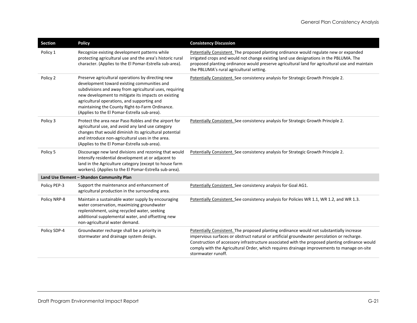| Section      | <b>Policy</b>                                                                                                                                                                                                                                                                                                                                                        | <b>Consistency Discussion</b>                                                                                                                                                                                                                                                                                                                                                                                |
|--------------|----------------------------------------------------------------------------------------------------------------------------------------------------------------------------------------------------------------------------------------------------------------------------------------------------------------------------------------------------------------------|--------------------------------------------------------------------------------------------------------------------------------------------------------------------------------------------------------------------------------------------------------------------------------------------------------------------------------------------------------------------------------------------------------------|
| Policy 1     | Recognize existing development patterns while<br>protecting agricultural use and the area's historic rural<br>character. (Applies to the El Pomar-Estrella sub-area).                                                                                                                                                                                                | Potentially Consistent. The proposed planting ordinance would regulate new or expanded<br>irrigated crops and would not change existing land use designations in the PBLUMA. The<br>proposed planting ordinance would preserve agricultural land for agricultural use and maintain<br>the PBLUMA's rural agricultural setting.                                                                               |
| Policy 2     | Preserve agricultural operations by directing new<br>development toward existing communities and<br>subdivisions and away from agricultural uses, requiring<br>new development to mitigate its impacts on existing<br>agricultural operations, and supporting and<br>maintaining the County Right-to-Farm Ordinance.<br>(Applies to the El Pomar-Estrella sub-area). | Potentially Consistent. See consistency analysis for Strategic Growth Principle 2.                                                                                                                                                                                                                                                                                                                           |
| Policy 3     | Protect the area near Paso Robles and the airport for<br>agricultural use, and avoid any land use category<br>changes that would diminish its agricultural potential<br>and introduce non-agricultural uses in the area.<br>(Applies to the El Pomar-Estrella sub-area).                                                                                             | Potentially Consistent. See consistency analysis for Strategic Growth Principle 2.                                                                                                                                                                                                                                                                                                                           |
| Policy 5     | Discourage new land divisions and rezoning that would<br>intensify residential development at or adjacent to<br>land in the Agriculture category (except to house farm<br>workers). (Applies to the El Pomar-Estrella sub-area).                                                                                                                                     | Potentially Consistent. See consistency analysis for Strategic Growth Principle 2.                                                                                                                                                                                                                                                                                                                           |
|              | Land Use Element - Shandon Community Plan                                                                                                                                                                                                                                                                                                                            |                                                                                                                                                                                                                                                                                                                                                                                                              |
| Policy PEP-3 | Support the maintenance and enhancement of<br>agricultural production in the surrounding area.                                                                                                                                                                                                                                                                       | Potentially Consistent. See consistency analysis for Goal AG1.                                                                                                                                                                                                                                                                                                                                               |
| Policy NRP-8 | Maintain a sustainable water supply by encouraging<br>water conservation, maximizing groundwater<br>replenishment, using recycled water, seeking<br>additional supplemental water, and offsetting new<br>non-agricultural water demand.                                                                                                                              | Potentially Consistent. See consistency analysis for Policies WR 1.1, WR 1.2, and WR 1.3.                                                                                                                                                                                                                                                                                                                    |
| Policy SDP-4 | Groundwater recharge shall be a priority in<br>stormwater and drainage system design.                                                                                                                                                                                                                                                                                | Potentially Consistent. The proposed planting ordinance would not substantially increase<br>impervious surfaces or obstruct natural or artificial groundwater percolation or recharge.<br>Construction of accessory infrastructure associated with the proposed planting ordinance would<br>comply with the Agricultural Order, which requires drainage improvements to manage on-site<br>stormwater runoff. |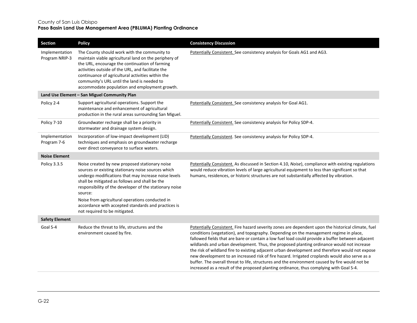| Section                          | <b>Policy</b>                                                                                                                                                                                                                                                                                                                                                                                                                   | <b>Consistency Discussion</b>                                                                                                                                                                                                                                                                                                                                                                                                                                                                                                                                                                                                                                                                                                                                                                  |
|----------------------------------|---------------------------------------------------------------------------------------------------------------------------------------------------------------------------------------------------------------------------------------------------------------------------------------------------------------------------------------------------------------------------------------------------------------------------------|------------------------------------------------------------------------------------------------------------------------------------------------------------------------------------------------------------------------------------------------------------------------------------------------------------------------------------------------------------------------------------------------------------------------------------------------------------------------------------------------------------------------------------------------------------------------------------------------------------------------------------------------------------------------------------------------------------------------------------------------------------------------------------------------|
| Implementation<br>Program NRIP-3 | The County should work with the community to<br>maintain viable agricultural land on the periphery of<br>the URL, encourage the continuation of farming<br>activities outside of the URL, and facilitate the<br>continuance of agricultural activities within the<br>community's URL until the land is needed to<br>accommodate population and employment growth.                                                               | Potentially Consistent. See consistency analysis for Goals AG1 and AG3.                                                                                                                                                                                                                                                                                                                                                                                                                                                                                                                                                                                                                                                                                                                        |
|                                  | Land Use Element - San Miguel Community Plan                                                                                                                                                                                                                                                                                                                                                                                    |                                                                                                                                                                                                                                                                                                                                                                                                                                                                                                                                                                                                                                                                                                                                                                                                |
| Policy 2-4                       | Support agricultural operations. Support the<br>maintenance and enhancement of agricultural<br>production in the rural areas surrounding San Miguel.                                                                                                                                                                                                                                                                            | Potentially Consistent. See consistency analysis for Goal AG1.                                                                                                                                                                                                                                                                                                                                                                                                                                                                                                                                                                                                                                                                                                                                 |
| Policy 7-10                      | Groundwater recharge shall be a priority in<br>stormwater and drainage system design.                                                                                                                                                                                                                                                                                                                                           | Potentially Consistent. See consistency analysis for Policy SDP-4.                                                                                                                                                                                                                                                                                                                                                                                                                                                                                                                                                                                                                                                                                                                             |
| Implementation<br>Program 7-6    | Incorporation of low-impact development (LID)<br>techniques and emphasis on groundwater recharge<br>over direct conveyance to surface waters.                                                                                                                                                                                                                                                                                   | Potentially Consistent. See consistency analysis for Policy SDP-4.                                                                                                                                                                                                                                                                                                                                                                                                                                                                                                                                                                                                                                                                                                                             |
| <b>Noise Element</b>             |                                                                                                                                                                                                                                                                                                                                                                                                                                 |                                                                                                                                                                                                                                                                                                                                                                                                                                                                                                                                                                                                                                                                                                                                                                                                |
| Policy 3.3.5                     | Noise created by new proposed stationary noise<br>sources or existing stationary noise sources which<br>undergo modifications that may increase noise levels<br>shall be mitigated as follows and shall be the<br>responsibility of the developer of the stationary noise<br>source:<br>Noise from agricultural operations conducted in<br>accordance with accepted standards and practices is<br>not required to be mitigated. | Potentially Consistent. As discussed in Section 4.10, Noise), compliance with existing regulations<br>would reduce vibration levels of large agricultural equipment to less than significant so that<br>humans, residences, or historic structures are not substantially affected by vibration.                                                                                                                                                                                                                                                                                                                                                                                                                                                                                                |
| <b>Safety Element</b>            |                                                                                                                                                                                                                                                                                                                                                                                                                                 |                                                                                                                                                                                                                                                                                                                                                                                                                                                                                                                                                                                                                                                                                                                                                                                                |
| Goal S-4                         | Reduce the threat to life, structures and the<br>environment caused by fire.                                                                                                                                                                                                                                                                                                                                                    | Potentially Consistent. Fire hazard severity zones are dependent upon the historical climate, fuel<br>conditions (vegetation), and topography. Depending on the management regime in place,<br>fallowed fields that are bare or contain a low fuel load could provide a buffer between adjacent<br>wildlands and urban development. Thus, the proposed planting ordinance would not increase<br>the risk of wildland fire to existing adjacent urban development and therefore would not expose<br>new development to an increased risk of fire hazard. Irrigated croplands would also serve as a<br>buffer. The overall threat to life, structures and the environment caused by fire would not be<br>increased as a result of the proposed planting ordinance, thus complying with Goal S-4. |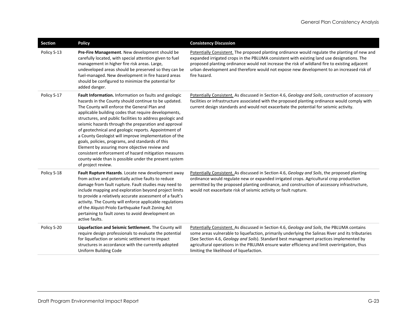| <b>Section</b> | <b>Policy</b>                                                                                                                                                                                                                                                                                                                                                                                                                                                                                                                                                                                                                                                                                           | <b>Consistency Discussion</b>                                                                                                                                                                                                                                                                                                                                                                                                           |
|----------------|---------------------------------------------------------------------------------------------------------------------------------------------------------------------------------------------------------------------------------------------------------------------------------------------------------------------------------------------------------------------------------------------------------------------------------------------------------------------------------------------------------------------------------------------------------------------------------------------------------------------------------------------------------------------------------------------------------|-----------------------------------------------------------------------------------------------------------------------------------------------------------------------------------------------------------------------------------------------------------------------------------------------------------------------------------------------------------------------------------------------------------------------------------------|
| Policy S-13    | Pre-Fire Management. New development should be<br>carefully located, with special attention given to fuel<br>management in higher fire risk areas. Large,<br>undeveloped areas should be preserved so they can be<br>fuel-managed. New development in fire hazard areas<br>should be configured to minimize the potential for<br>added danger.                                                                                                                                                                                                                                                                                                                                                          | Potentially Consistent. The proposed planting ordinance would regulate the planting of new and<br>expanded irrigated crops in the PBLUMA consistent with existing land use designations. The<br>proposed planting ordinance would not increase the risk of wildland fire to existing adjacent<br>urban development and therefore would not expose new development to an increased risk of<br>fire hazard.                               |
| Policy S-17    | Fault Information. Information on faults and geologic<br>hazards in the County should continue to be updated.<br>The County will enforce the General Plan and<br>applicable building codes that require developments,<br>structures, and public facilities to address geologic and<br>seismic hazards through the preparation and approval<br>of geotechnical and geologic reports. Appointment of<br>a County Geologist will improve implementation of the<br>goals, policies, programs, and standards of this<br>Element by assuring more objective review and<br>consistent enforcement of hazard mitigation measures<br>county-wide than is possible under the present system<br>of project review. | Potentially Consistent. As discussed in Section 4.6, Geology and Soils, construction of accessory<br>facilities or infrastructure associated with the proposed planting ordinance would comply with<br>current design standards and would not exacerbate the potential for seismic activity.                                                                                                                                            |
| Policy S-18    | Fault Rupture Hazards. Locate new development away<br>from active and potentially active faults to reduce<br>damage from fault rupture. Fault studies may need to<br>include mapping and exploration beyond project limits<br>to provide a relatively accurate assessment of a fault's<br>activity. The County will enforce applicable regulations<br>of the Alquist-Priolo Earthquake Fault Zoning Act<br>pertaining to fault zones to avoid development on<br>active faults.                                                                                                                                                                                                                          | Potentially Consistent. As discussed in Section 4.6, Geology and Soils, the proposed planting<br>ordinance would regulate new or expanded irrigated crops. Agricultural crop production<br>permitted by the proposed planting ordinance, and construction of accessory infrastructure,<br>would not exacerbate risk of seismic activity or fault rupture.                                                                               |
| Policy S-20    | Liquefaction and Seismic Settlement. The County will<br>require design professionals to evaluate the potential<br>for liquefaction or seismic settlement to impact<br>structures in accordance with the currently adopted<br>Uniform Building Code                                                                                                                                                                                                                                                                                                                                                                                                                                                      | Potentially Consistent. As discussed in Section 4.6, Geology and Soils, the PBLUMA contains<br>some areas vulnerable to liquefaction, primarily underlying the Salinas River and its tributaries<br>(See Section 4.6, Geology and Soils). Standard best management practices implemented by<br>agricultural operations in the PBLUMA ensure water efficiency and limit overirrigation, thus<br>limiting the likelihood of liquefaction. |